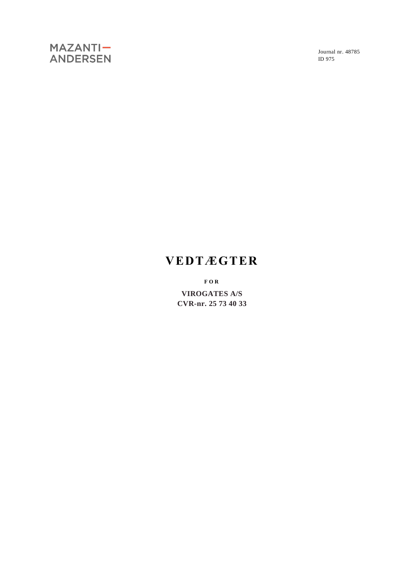Journal nr. 48785 ID 975

# **VEDTÆGTER**

**F O R**

**VIROGATES A/S CVR-nr. 25 73 40 33**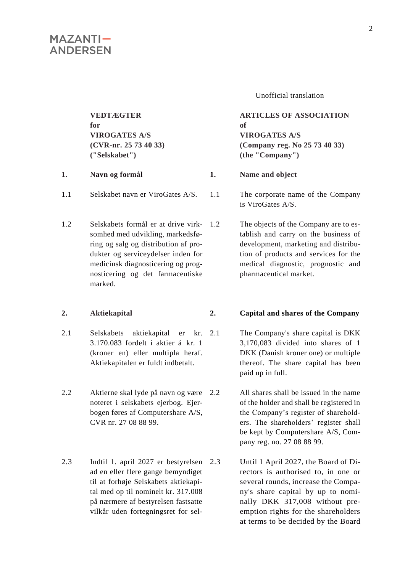**VEDTÆGTER for VIROGATES A/S (CVR-nr. 25 73 40 33) ("Selskabet")**

### **1. Navn og formål 1. Name and object**

- 1.1 Selskabet navn er ViroGates A/S. 1.1 The corporate name of the Company
- 1.2 Selskabets formål er at drive virksomhed med udvikling, markedsføring og salg og distribution af produkter og serviceydelser inden for medicinsk diagnosticering og prognosticering og det farmaceutiske marked.

#### **2. Aktiekapital 2. Capital and shares of the Company**

- 2.1 Selskabets aktiekapital er kr. 3.170.083 fordelt i aktier á kr. 1 (kroner en) eller multipla heraf. Aktiekapitalen er fuldt indbetalt.
- 2.2 Aktierne skal lyde på navn og være noteret i selskabets ejerbog. Ejerbogen føres af Computershare A/S, CVR nr. 27 08 88 99.
- 2.3 Indtil 1. april 2027 er bestyrelsen ad en eller flere gange bemyndiget til at forhøje Selskabets aktiekapital med op til nominelt kr. 317.008 på nærmere af bestyrelsen fastsatte vilkår uden fortegningsret for sel-

Unofficial translation

### **ARTICLES OF ASSOCIATION of VIROGATES A/S (Company reg. No 25 73 40 33) (the "Company")**

is ViroGates A/S.

The objects of the Company are to establish and carry on the business of development, marketing and distribution of products and services for the medical diagnostic, prognostic and pharmaceutical market.

- 2.1 The Company's share capital is DKK 3,170,083 divided into shares of 1 DKK (Danish kroner one) or multiple thereof. The share capital has been paid up in full.
	- All shares shall be issued in the name of the holder and shall be registered in the Company's register of shareholders. The shareholders' register shall be kept by Computershare A/S, Company reg. no. 27 08 88 99.
	- Until 1 April 2027, the Board of Directors is authorised to, in one or several rounds, increase the Company's share capital by up to nominally DKK 317,008 without preemption rights for the shareholders at terms to be decided by the Board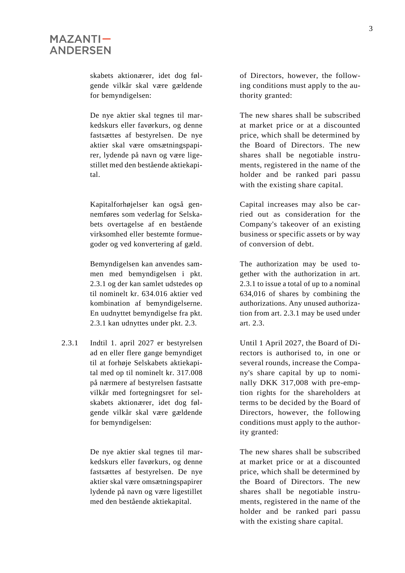skabets aktionærer, idet dog følgende vilkår skal være gældende for bemyndigelsen:

De nye aktier skal tegnes til markedskurs eller favørkurs, og denne fastsættes af bestyrelsen. De nye aktier skal være omsætningspapirer, lydende på navn og være ligestillet med den bestående aktiekapital.

Kapitalforhøjelser kan også gennemføres som vederlag for Selskabets overtagelse af en bestående virksomhed eller bestemte formuegoder og ved konvertering af gæld.

Bemyndigelsen kan anvendes sammen med bemyndigelsen i pkt. 2.3.1 og der kan samlet udstedes op til nominelt kr. 634.016 aktier ved kombination af bemyndigelserne. En uudnyttet bemyndigelse fra pkt. 2.3.1 kan udnyttes under pkt. 2.3.

2.3.1 Indtil 1. april 2027 er bestyrelsen ad en eller flere gange bemyndiget til at forhøje Selskabets aktiekapital med op til nominelt kr. 317.008 på nærmere af bestyrelsen fastsatte vilkår med fortegningsret for selskabets aktionærer, idet dog følgende vilkår skal være gældende for bemyndigelsen:

> De nye aktier skal tegnes til markedskurs eller favørkurs, og denne fastsættes af bestyrelsen. De nye aktier skal være omsætningspapirer lydende på navn og være ligestillet med den bestående aktiekapital.

of Directors, however, the following conditions must apply to the authority granted:

The new shares shall be subscribed at market price or at a discounted price, which shall be determined by the Board of Directors. The new shares shall be negotiable instruments, registered in the name of the holder and be ranked pari passu with the existing share capital.

Capital increases may also be carried out as consideration for the Company's takeover of an existing business or specific assets or by way of conversion of debt.

The authorization may be used together with the authorization in art. 2.3.1 to issue a total of up to a nominal 634,016 of shares by combining the authorizations. Any unused authorization from art. 2.3.1 may be used under art. 2.3.

Until 1 April 2027, the Board of Directors is authorised to, in one or several rounds, increase the Company's share capital by up to nominally DKK 317,008 with pre-emption rights for the shareholders at terms to be decided by the Board of Directors, however, the following conditions must apply to the authority granted:

The new shares shall be subscribed at market price or at a discounted price, which shall be determined by the Board of Directors. The new shares shall be negotiable instruments, registered in the name of the holder and be ranked pari passu with the existing share capital.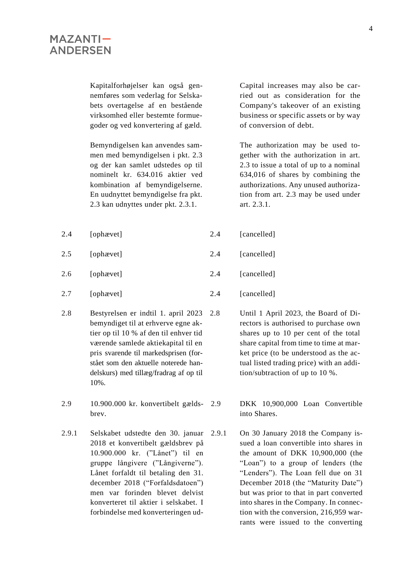Kapitalforhøjelser kan også gennemføres som vederlag for Selskabets overtagelse af en bestående virksomhed eller bestemte formuegoder og ved konvertering af gæld.

Bemyndigelsen kan anvendes sammen med bemyndigelsen i pkt. 2.3 og der kan samlet udstedes op til nominelt kr. 634.016 aktier ved kombination af bemyndigelserne. En uudnyttet bemyndigelse fra pkt. 2.3 kan udnyttes under pkt. 2.3.1.

- 2.4 [ophævet] 2.4 [cancelled] 2.5 [ophævet] 2.4 [cancelled] 2.6 [ophævet] 2.4 [cancelled]
- 2.7 [ophævet] 2.4 [cancelled]
- 2.8 Bestyrelsen er indtil 1. april 2023 bemyndiget til at erhverve egne aktier op til 10 % af den til enhver tid værende samlede aktiekapital til en pris svarende til markedsprisen (forstået som den aktuelle noterede handelskurs) med tillæg/fradrag af op til 10%.
- 2.9 10.900.000 kr. konvertibelt gældsbrev.
- 2.9.1 Selskabet udstedte den 30. januar 2018 et konvertibelt gældsbrev på 10.900.000 kr. ("Lånet") til en gruppe långivere ("Långiverne"). Lånet forfaldt til betaling den 31. december 2018 ("Forfaldsdatoen") men var forinden blevet delvist konverteret til aktier i selskabet. I forbindelse med konverteringen ud-

Capital increases may also be carried out as consideration for the Company's takeover of an existing business or specific assets or by way of conversion of debt.

The authorization may be used together with the authorization in art. 2.3 to issue a total of up to a nominal 634,016 of shares by combining the authorizations. Any unused authorization from art. 2.3 may be used under art. 2.3.1.

- -
	- -
		- 2.8 Until 1 April 2023, the Board of Directors is authorised to purchase own shares up to 10 per cent of the total share capital from time to time at market price (to be understood as the actual listed trading price) with an addition/subtraction of up to 10 %.

2.9 DKK 10,900,000 Loan Convertible into Shares.

2.9.1 On 30 January 2018 the Company issued a loan convertible into shares in the amount of DKK 10,900,000 (the "Loan") to a group of lenders (the "Lenders"). The Loan fell due on 31 December 2018 (the "Maturity Date") but was prior to that in part converted into shares in the Company. In connection with the conversion, 216,959 warrants were issued to the converting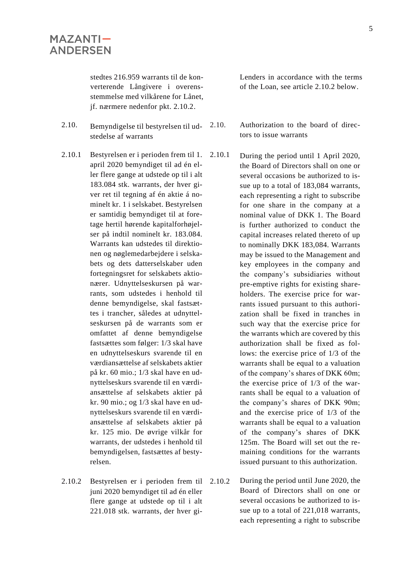stedtes 216.959 warrants til de konverterende Långivere i overensstemmelse med vilkårene for Lånet, jf. nærmere nedenfor pkt. 2.10.2.

- 2.10. Bemyndigelse til bestyrelsen til udstedelse af warrants
- 2.10.1 Bestyrelsen er i perioden frem til 1. april 2020 bemyndiget til ad én eller flere gange at udstede op til i alt 183.084 stk. warrants, der hver giver ret til tegning af én aktie á nominelt kr. 1 i selskabet. Bestyrelsen er samtidig bemyndiget til at foretage hertil hørende kapitalforhøjelser på indtil nominelt kr. 183.084. Warrants kan udstedes til direktionen og nøglemedarbejdere i selskabets og dets datterselskaber uden fortegningsret for selskabets aktionærer. Udnyttelseskursen på warrants, som udstedes i henhold til denne bemyndigelse, skal fastsættes i trancher, således at udnyttelseskursen på de warrants som er omfattet af denne bemyndigelse fastsættes som følger: 1/3 skal have en udnyttelseskurs svarende til en værdiansættelse af selskabets aktier på kr. 60 mio.; 1/3 skal have en udnyttelseskurs svarende til en værdiansættelse af selskabets aktier på kr. 90 mio.; og 1/3 skal have en udnyttelseskurs svarende til en værdiansættelse af selskabets aktier på kr. 125 mio. De øvrige vilkår for warrants, der udstedes i henhold til bemyndigelsen, fastsættes af bestyrelsen.
- 2.10.2 Bestyrelsen er i perioden frem til 2.10.2 juni 2020 bemyndiget til ad én eller flere gange at udstede op til i alt 221.018 stk. warrants, der hver gi-

Lenders in accordance with the terms of the Loan, see article 2.10.2 below.

- 2.10. Authorization to the board of directors to issue warrants
- 2.10.1 During the period until 1 April 2020, the Board of Directors shall on one or several occasions be authorized to issue up to a total of 183,084 warrants, each representing a right to subscribe for one share in the company at a nominal value of DKK 1. The Board is further authorized to conduct the capital increases related thereto of up to nominally DKK 183,084. Warrants may be issued to the Management and key employees in the company and the company's subsidiaries without pre-emptive rights for existing shareholders. The exercise price for warrants issued pursuant to this authorization shall be fixed in tranches in such way that the exercise price for the warrants which are covered by this authorization shall be fixed as follows: the exercise price of 1/3 of the warrants shall be equal to a valuation of the company's shares of DKK 60m; the exercise price of 1/3 of the warrants shall be equal to a valuation of the company's shares of DKK 90m; and the exercise price of 1/3 of the warrants shall be equal to a valuation of the company's shares of DKK 125m. The Board will set out the remaining conditions for the warrants issued pursuant to this authorization.
- During the period until June 2020, the Board of Directors shall on one or several occasions be authorized to issue up to a total of 221,018 warrants, each representing a right to subscribe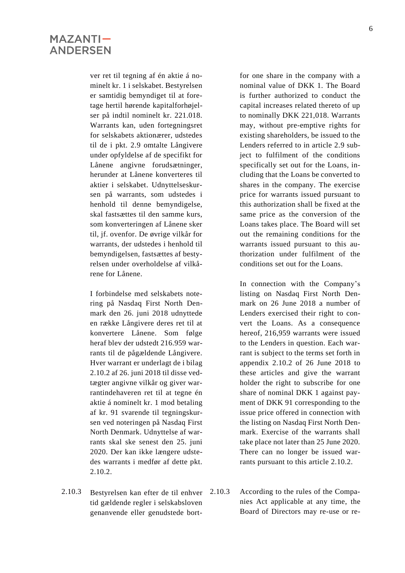ver ret til tegning af én aktie á nominelt kr. 1 i selskabet. Bestyrelsen er samtidig bemyndiget til at foretage hertil hørende kapitalforhøjelser på indtil nominelt kr. 221.018. Warrants kan, uden fortegningsret for selskabets aktionærer, udstedes til de i pkt. 2.9 omtalte Långivere under opfyldelse af de specifikt for Lånene angivne forudsætninger, herunder at Lånene konverteres til aktier i selskabet. Udnyttelseskursen på warrants, som udstedes i henhold til denne bemyndigelse, skal fastsættes til den samme kurs, som konverteringen af Lånene sker til, jf. ovenfor. De øvrige vilkår for warrants, der udstedes i henhold til bemyndigelsen, fastsættes af bestyrelsen under overholdelse af vilkårene for Lånene.

I forbindelse med selskabets notering på Nasdaq First North Denmark den 26. juni 2018 udnyttede en række Långivere deres ret til at konvertere Lånene. Som følge heraf blev der udstedt 216.959 warrants til de pågældende Långivere. Hver warrant er underlagt de i bilag 2.10.2 af 26. juni 2018 til disse vedtægter angivne vilkår og giver warrantindehaveren ret til at tegne én aktie á nominelt kr. 1 mod betaling af kr. 91 svarende til tegningskursen ved noteringen på Nasdaq First North Denmark. Udnyttelse af warrants skal ske senest den 25. juni 2020. Der kan ikke længere udstedes warrants i medfør af dette pkt. 2.10.2.

2.10.3 Bestyrelsen kan efter de til enhver tid gældende regler i selskabsloven genanvende eller genudstede bort-

for one share in the company with a nominal value of DKK 1. The Board is further authorized to conduct the capital increases related thereto of up to nominally DKK 221,018. Warrants may, without pre-emptive rights for existing shareholders, be issued to the Lenders referred to in article 2.9 subject to fulfilment of the conditions specifically set out for the Loans, including that the Loans be converted to shares in the company. The exercise price for warrants issued pursuant to this authorization shall be fixed at the same price as the conversion of the Loans takes place. The Board will set out the remaining conditions for the warrants issued pursuant to this authorization under fulfilment of the conditions set out for the Loans.

In connection with the Company's listing on Nasdaq First North Denmark on 26 June 2018 a number of Lenders exercised their right to convert the Loans. As a consequence hereof, 216,959 warrants were issued to the Lenders in question. Each warrant is subject to the terms set forth in appendix 2.10.2 of 26 June 2018 to these articles and give the warrant holder the right to subscribe for one share of nominal DKK 1 against payment of DKK 91 corresponding to the issue price offered in connection with the listing on Nasdaq First North Denmark. Exercise of the warrants shall take place not later than 25 June 2020. There can no longer be issued warrants pursuant to this article 2.10.2.

2.10.3 According to the rules of the Companies Act applicable at any time, the Board of Directors may re-use or re-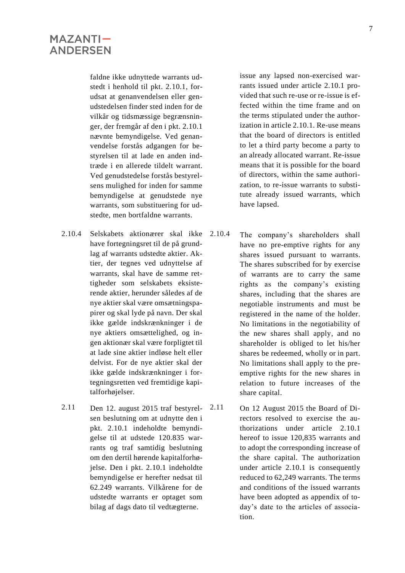faldne ikke udnyttede warrants udstedt i henhold til pkt. 2.10.1, forudsat at genanvendelsen eller genudstedelsen finder sted inden for de vilkår og tidsmæssige begrænsninger, der fremgår af den i pkt. 2.10.1 nævnte bemyndigelse. Ved genanvendelse forstås adgangen for bestyrelsen til at lade en anden indtræde i en allerede tildelt warrant. Ved genudstedelse forstås bestyrelsens mulighed for inden for samme bemyndigelse at genudstede nye warrants, som substituering for udstedte, men bortfaldne warrants.

- 2.10.4 Selskabets aktionærer skal ikke have fortegningsret til de på grundlag af warrants udstedte aktier. Aktier, der tegnes ved udnyttelse af warrants, skal have de samme rettigheder som selskabets eksisterende aktier, herunder således af de nye aktier skal være omsætningspapirer og skal lyde på navn. Der skal ikke gælde indskrænkninger i de nye aktiers omsættelighed, og ingen aktionær skal være forpligtet til at lade sine aktier indløse helt eller delvist. For de nye aktier skal der ikke gælde indskrænkninger i fortegningsretten ved fremtidige kapitalforhøjelser.
- 2.11 Den 12. august 2015 traf bestyrelsen beslutning om at udnytte den i pkt. 2.10.1 indeholdte bemyndigelse til at udstede 120.835 warrants og traf samtidig beslutning om den dertil hørende kapitalforhøjelse. Den i pkt. 2.10.1 indeholdte bemyndigelse er herefter nedsat til 62.249 warrants. Vilkårene for de udstedte warrants er optaget som bilag af dags dato til vedtægterne.

issue any lapsed non-exercised warrants issued under article 2.10.1 provided that such re-use or re-issue is effected within the time frame and on the terms stipulated under the authorization in article 2.10.1. Re-use means that the board of directors is entitled to let a third party become a party to an already allocated warrant. Re-issue means that it is possible for the board of directors, within the same authorization, to re-issue warrants to substitute already issued warrants, which have lapsed.

- The company's shareholders shall have no pre-emptive rights for any shares issued pursuant to warrants. The shares subscribed for by exercise of warrants are to carry the same rights as the company's existing shares, including that the shares are negotiable instruments and must be registered in the name of the holder. No limitations in the negotiability of the new shares shall apply, and no shareholder is obliged to let his/her shares be redeemed, wholly or in part. No limitations shall apply to the preemptive rights for the new shares in relation to future increases of the share capital.
- 2.11 On 12 August 2015 the Board of Directors resolved to exercise the authorizations under article 2.10.1 hereof to issue 120,835 warrants and to adopt the corresponding increase of the share capital. The authorization under article 2.10.1 is consequently reduced to 62,249 warrants. The terms and conditions of the issued warrants have been adopted as appendix of today's date to the articles of association.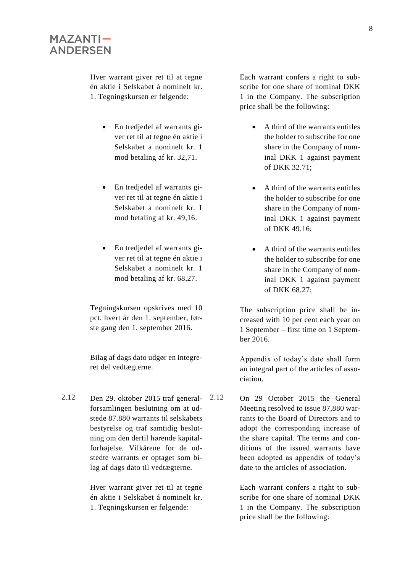Hver warrant giver ret til at tegne én aktie i Selskabet á nominelt kr. 1. Tegningskursen er følgende:

- En tredjedel af warrants giver ret til at tegne én aktie i Selskabet a nominelt kr. 1 mod betaling af kr. 32,71.
- En tredjedel af warrants giver ret til at tegne én aktie i Selskabet a nominelt kr. 1 mod betaling af kr. 49,16.
- En tredjedel af warrants giver ret til at tegne én aktie i Selskabet a nominelt kr. 1 mod betaling af kr. 68,27.

Tegningskursen opskrives med 10 pct. hvert år den 1. september, første gang den 1. september 2016.

Bilag af dags dato udgør en integreret del vedtægterne.

2.12 Den 29. oktober 2015 traf generalforsamlingen beslutning om at udstede 87.880 warrants til selskabets bestyrelse og traf samtidig beslutning om den dertil hørende kapitalforhøjelse. Vilkårene for de udstedte warrants er optaget som bilag af dags dato til vedtægterne.

> Hver warrant giver ret til at tegne én aktie i Selskabet á nominelt kr. 1. Tegningskursen er følgende:

Each warrant confers a right to subscribe for one share of nominal DKK 1 in the Company. The subscription price shall be the following:

- A third of the warrants entitles the holder to subscribe for one share in the Company of nominal DKK 1 against payment of DKK 32.71;
- A third of the warrants entitles the holder to subscribe for one share in the Company of nominal DKK 1 against payment of DKK 49.16;
- A third of the warrants entitles the holder to subscribe for one share in the Company of nominal DKK 1 against payment of DKK 68.27;

The subscription price shall be increased with 10 per cent each year on 1 September – first time on 1 September 2016.

Appendix of today's date shall form an integral part of the articles of association.

2.12 On 29 October 2015 the General Meeting resolved to issue 87,880 warrants to the Board of Directors and to adopt the corresponding increase of the share capital. The terms and conditions of the issued warrants have been adopted as appendix of today's date to the articles of association.

> Each warrant confers a right to subscribe for one share of nominal DKK 1 in the Company. The subscription price shall be the following: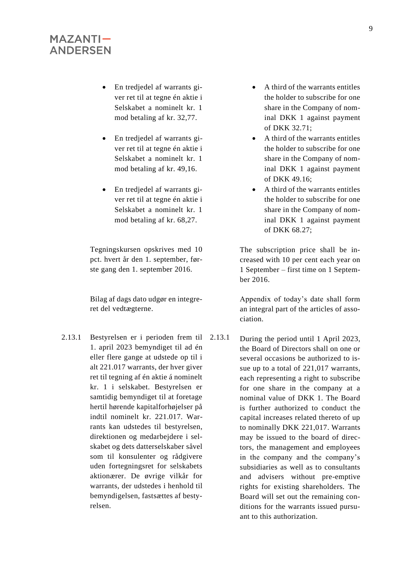- En tredjedel af warrants giver ret til at tegne én aktie i Selskabet a nominelt kr. 1 mod betaling af kr. 32,77.
- En tredjedel af warrants giver ret til at tegne én aktie i Selskabet a nominelt kr. 1 mod betaling af kr. 49,16.
- En tredjedel af warrants giver ret til at tegne én aktie i Selskabet a nominelt kr. 1 mod betaling af kr. 68,27.

Tegningskursen opskrives med 10 pct. hvert år den 1. september, første gang den 1. september 2016.

Bilag af dags dato udgør en integreret del vedtægterne.

2.13.1 Bestyrelsen er i perioden frem til 1. april 2023 bemyndiget til ad én eller flere gange at udstede op til i alt 221.017 warrants, der hver giver ret til tegning af én aktie á nominelt kr. 1 i selskabet. Bestyrelsen er samtidig bemyndiget til at foretage hertil hørende kapitalforhøjelser på indtil nominelt kr. 221.017. Warrants kan udstedes til bestyrelsen, direktionen og medarbejdere i selskabet og dets datterselskaber såvel som til konsulenter og rådgivere uden fortegningsret for selskabets aktionærer. De øvrige vilkår for warrants, der udstedes i henhold til bemyndigelsen, fastsættes af bestyrelsen.

- A third of the warrants entitles the holder to subscribe for one share in the Company of nominal DKK 1 against payment of DKK 32.71;
- A third of the warrants entitles the holder to subscribe for one share in the Company of nominal DKK 1 against payment of DKK 49.16;
- A third of the warrants entitles the holder to subscribe for one share in the Company of nominal DKK 1 against payment of DKK 68.27;

The subscription price shall be increased with 10 per cent each year on 1 September – first time on 1 September 2016.

Appendix of today's date shall form an integral part of the articles of association.

2.13.1 During the period until 1 April 2023, the Board of Directors shall on one or several occasions be authorized to issue up to a total of 221,017 warrants, each representing a right to subscribe for one share in the company at a nominal value of DKK 1. The Board is further authorized to conduct the capital increases related thereto of up to nominally DKK 221,017. Warrants may be issued to the board of directors, the management and employees in the company and the company's subsidiaries as well as to consultants and advisers without pre-emptive rights for existing shareholders. The Board will set out the remaining conditions for the warrants issued pursuant to this authorization.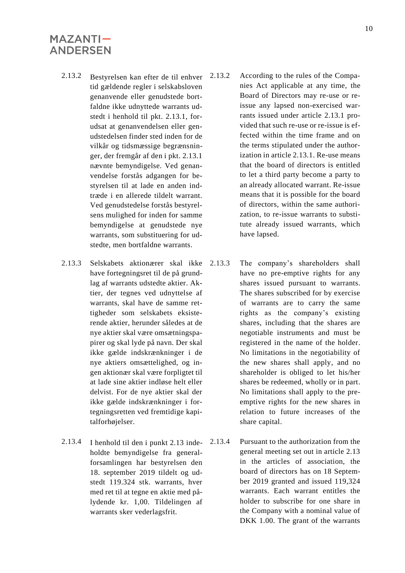- 2.13.2 Bestyrelsen kan efter de til enhver tid gældende regler i selskabsloven genanvende eller genudstede bortfaldne ikke udnyttede warrants udstedt i henhold til pkt. 2.13.1, forudsat at genanvendelsen eller genudstedelsen finder sted inden for de vilkår og tidsmæssige begrænsninger, der fremgår af den i pkt. 2.13.1 nævnte bemyndigelse. Ved genanvendelse forstås adgangen for bestyrelsen til at lade en anden indtræde i en allerede tildelt warrant. Ved genudstedelse forstås bestyrelsens mulighed for inden for samme bemyndigelse at genudstede nye warrants, som substituering for udstedte, men bortfaldne warrants.
- 2.13.3 Selskabets aktionærer skal ikke have fortegningsret til de på grundlag af warrants udstedte aktier. Aktier, der tegnes ved udnyttelse af warrants, skal have de samme rettigheder som selskabets eksisterende aktier, herunder således at de nye aktier skal være omsætningspapirer og skal lyde på navn. Der skal ikke gælde indskrænkninger i de nye aktiers omsættelighed, og ingen aktionær skal være forpligtet til at lade sine aktier indløse helt eller delvist. For de nye aktier skal der ikke gælde indskrænkninger i fortegningsretten ved fremtidige kapitalforhøjelser.
- 2.13.4 I henhold til den i punkt 2.13 indeholdte bemyndigelse fra generalforsamlingen har bestyrelsen den 18. september 2019 tildelt og udstedt 119.324 stk. warrants, hver med ret til at tegne en aktie med pålydende kr. 1,00. Tildelingen af warrants sker vederlagsfrit.
- 2.13.2 According to the rules of the Companies Act applicable at any time, the Board of Directors may re-use or reissue any lapsed non-exercised warrants issued under article 2.13.1 provided that such re-use or re-issue is effected within the time frame and on the terms stipulated under the authorization in article 2.13.1. Re-use means that the board of directors is entitled to let a third party become a party to an already allocated warrant. Re-issue means that it is possible for the board of directors, within the same authorization, to re-issue warrants to substitute already issued warrants, which have lapsed.
	- The company's shareholders shall have no pre-emptive rights for any shares issued pursuant to warrants. The shares subscribed for by exercise of warrants are to carry the same rights as the company's existing shares, including that the shares are negotiable instruments and must be registered in the name of the holder. No limitations in the negotiability of the new shares shall apply, and no shareholder is obliged to let his/her shares be redeemed, wholly or in part. No limitations shall apply to the preemptive rights for the new shares in relation to future increases of the share capital.
- 2.13.4 Pursuant to the authorization from the general meeting set out in article 2.13 in the articles of association, the board of directors has on 18 September 2019 granted and issued 119,324 warrants. Each warrant entitles the holder to subscribe for one share in the Company with a nominal value of DKK 1.00. The grant of the warrants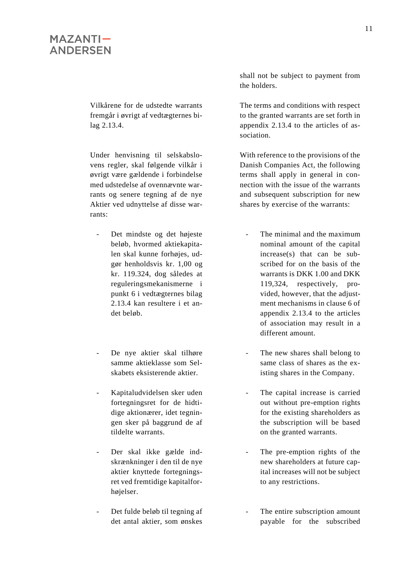Vilkårene for de udstedte warrants fremgår i øvrigt af vedtægternes bilag 2.13.4.

Under henvisning til selskabslovens regler, skal følgende vilkår i øvrigt være gældende i forbindelse med udstedelse af ovennævnte warrants og senere tegning af de nye Aktier ved udnyttelse af disse warrants:

- Det mindste og det højeste beløb, hvormed aktiekapitalen skal kunne forhøjes, udgør henholdsvis kr. 1,00 og kr. 119.324, dog således at reguleringsmekanismerne i punkt 6 i vedtægternes bilag 2.13.4 kan resultere i et andet beløb.
- De nye aktier skal tilhøre samme aktieklasse som Selskabets eksisterende aktier.
- Kapitaludvidelsen sker uden fortegningsret for de hidtidige aktionærer, idet tegningen sker på baggrund de af tildelte warrants.
- Der skal ikke gælde indskrænkninger i den til de nye aktier knyttede fortegningsret ved fremtidige kapitalforhøjelser.
- Det fulde beløb til tegning af det antal aktier, som ønskes

shall not be subject to payment from the holders.

The terms and conditions with respect to the granted warrants are set forth in appendix 2.13.4 to the articles of association.

With reference to the provisions of the Danish Companies Act, the following terms shall apply in general in connection with the issue of the warrants and subsequent subscription for new shares by exercise of the warrants:

- The minimal and the maximum nominal amount of the capital increase(s) that can be subscribed for on the basis of the warrants is DKK 1.00 and DKK 119,324, respectively, provided, however, that the adjustment mechanisms in clause 6 of appendix 2.13.4 to the articles of association may result in a different amount.
- The new shares shall belong to same class of shares as the existing shares in the Company.
- The capital increase is carried out without pre-emption rights for the existing shareholders as the subscription will be based on the granted warrants.
- The pre-emption rights of the new shareholders at future capital increases will not be subject to any restrictions.
- The entire subscription amount payable for the subscribed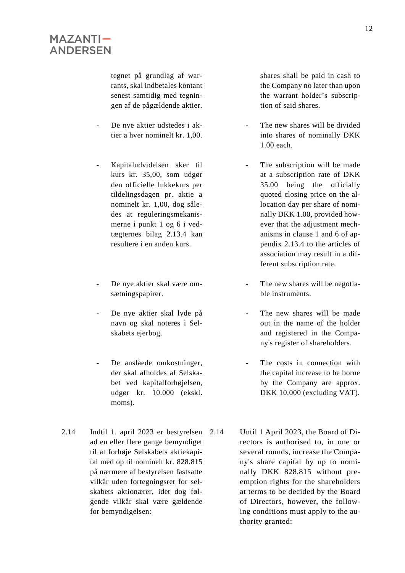tegnet på grundlag af warrants, skal indbetales kontant senest samtidig med tegningen af de pågældende aktier.

- De nye aktier udstedes i aktier a hver nominelt kr. 1,00.
- Kapitaludvidelsen sker til kurs kr. 35,00, som udgør den officielle lukkekurs per tildelingsdagen pr. aktie a nominelt kr. 1,00, dog således at reguleringsmekanismerne i punkt 1 og 6 i vedtægternes bilag 2.13.4 kan resultere i en anden kurs.
- De nye aktier skal være omsætningspapirer.
- De nye aktier skal lyde på navn og skal noteres i Selskabets ejerbog.
- De anslåede omkostninger, der skal afholdes af Selskabet ved kapitalforhøjelsen, udgør kr. 10.000 (ekskl. moms).
- 2.14 Indtil 1. april 2023 er bestyrelsen ad en eller flere gange bemyndiget til at forhøje Selskabets aktiekapital med op til nominelt kr. 828.815 på nærmere af bestyrelsen fastsatte vilkår uden fortegningsret for selskabets aktionærer, idet dog følgende vilkår skal være gældende for bemyndigelsen:

shares shall be paid in cash to the Company no later than upon the warrant holder's subscription of said shares.

- The new shares will be divided into shares of nominally DKK 1.00 each.
- The subscription will be made at a subscription rate of DKK 35.00 being the officially quoted closing price on the allocation day per share of nominally DKK 1.00, provided however that the adjustment mechanisms in clause 1 and 6 of appendix 2.13.4 to the articles of association may result in a different subscription rate.
- The new shares will be negotiable instruments.
- The new shares will be made out in the name of the holder and registered in the Company's register of shareholders.
- The costs in connection with the capital increase to be borne by the Company are approx. DKK 10,000 (excluding VAT).
- Until 1 April 2023, the Board of Directors is authorised to, in one or several rounds, increase the Company's share capital by up to nominally DKK 828,815 without preemption rights for the shareholders at terms to be decided by the Board of Directors, however, the following conditions must apply to the authority granted: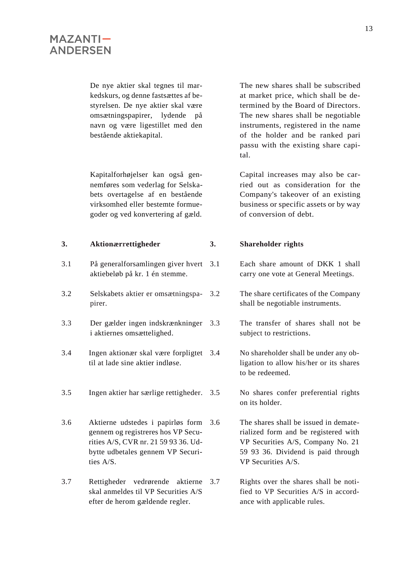De nye aktier skal tegnes til markedskurs, og denne fastsættes af bestyrelsen. De nye aktier skal være omsætningspapirer, lydende på navn og være ligestillet med den bestående aktiekapital.

Kapitalforhøjelser kan også gennemføres som vederlag for Selskabets overtagelse af en bestående virksomhed eller bestemte formuegoder og ved konvertering af gæld.

- 3.1 På generalforsamlingen giver hvert aktiebeløb på kr. 1 én stemme.
- 3.2 Selskabets aktier er omsætningspapirer.
- 3.3 Der gælder ingen indskrænkninger i aktiernes omsættelighed.
- 3.4 Ingen aktionær skal være forpligtet til at lade sine aktier indløse.
- 3.5 Ingen aktier har særlige rettigheder. 3.5 No shares confer preferential rights
- 3.6 Aktierne udstedes i papirløs form gennem og registreres hos VP Securities A/S, CVR nr. 21 59 93 36. Udbytte udbetales gennem VP Securities A/S.
- 3.7 Rettigheder vedrørende aktierne skal anmeldes til VP Securities A/S efter de herom gældende regler.

The new shares shall be subscribed at market price, which shall be determined by the Board of Directors. The new shares shall be negotiable instruments, registered in the name of the holder and be ranked pari passu with the existing share capital.

Capital increases may also be carried out as consideration for the Company's takeover of an existing business or specific assets or by way of conversion of debt.

#### **3. Aktionærrettigheder 3. Shareholder rights**

- 3.1 Each share amount of DKK 1 shall carry one vote at General Meetings.
- 3.2 The share certificates of the Company shall be negotiable instruments.
	- The transfer of shares shall not be subject to restrictions.
	- No shareholder shall be under any obligation to allow his/her or its shares to be redeemed.
	- on its holder.
	- The shares shall be issued in dematerialized form and be registered with VP Securities A/S, Company No. 21 59 93 36. Dividend is paid through VP Securities A/S.
	- Rights over the shares shall be notified to VP Securities A/S in accordance with applicable rules.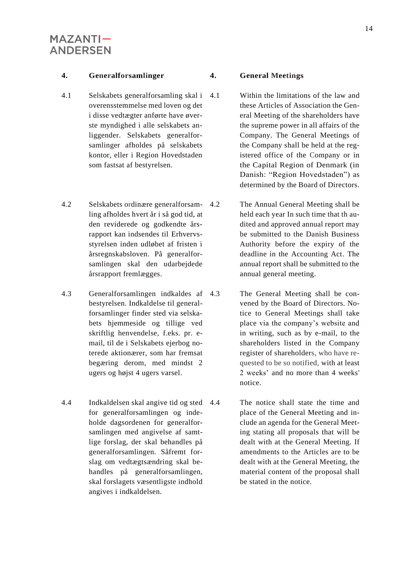#### **4. Generalforsamlinger 4. General Meetings**

- 4.1 Selskabets generalforsamling skal i overensstemmelse med loven og det i disse vedtægter anførte have øverste myndighed i alle selskabets anliggender. Selskabets generalforsamlinger afholdes på selskabets kontor, eller i Region Hovedstaden som fastsat af bestyrelsen.
- 4.2 Selskabets ordinære generalforsamling afholdes hvert år i så god tid, at den reviderede og godkendte årsrapport kan indsendes til Erhvervsstyrelsen inden udløbet af fristen i årsregnskabsloven. På generalforsamlingen skal den udarbejdede årsrapport fremlægges.
- 4.3 Generalforsamlingen indkaldes af bestyrelsen. Indkaldelse til generalforsamlinger finder sted via selskabets hjemmeside og tillige ved skriftlig henvendelse, f.eks. pr. email, til de i Selskabets ejerbog noterede aktionærer, som har fremsat begæring derom, med mindst 2 ugers og højst 4 ugers varsel.
- 4.4 Indkaldelsen skal angive tid og sted for generalforsamlingen og indeholde dagsordenen for generalforsamlingen med angivelse af samtlige forslag, der skal behandles på generalforsamlingen. Såfremt forslag om vedtægtsændring skal behandles på generalforsamlingen, skal forslagets væsentligste indhold angives i indkaldelsen.

- 4.1 Within the limitations of the law and these Articles of Association the General Meeting of the shareholders have the supreme power in all affairs of the Company. The General Meetings of the Company shall be held at the registered office of the Company or in the Capital Region of Denmark (in Danish: "Region Hovedstaden") as determined by the Board of Directors.
- 4.2 The Annual General Meeting shall be held each year In such time that th audited and approved annual report may be submitted to the Danish Business Authority before the expiry of the deadline in the Accounting Act. The annual report shall be submitted to the annual general meeting.
	- The General Meeting shall be convened by the Board of Directors. Notice to General Meetings shall take place via the company's website and in writing, such as by e-mail, to the shareholders listed in the Company register of shareholders, who have requested to be so notified, with at least 2 weeks' and no more than 4 weeks' notice.
	- The notice shall state the time and place of the General Meeting and include an agenda for the General Meeting stating all proposals that will be dealt with at the General Meeting. If amendments to the Articles are to be dealt with at the General Meeting, the material content of the proposal shall be stated in the notice.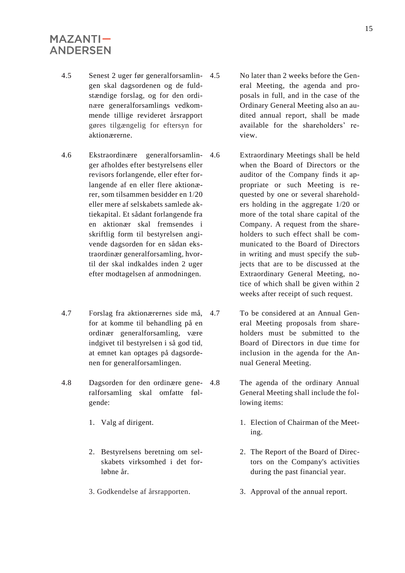- 4.5 Senest 2 uger før generalforsamlingen skal dagsordenen og de fuldstændige forslag, og for den ordinære generalforsamlings vedkommende tillige revideret årsrapport gøres tilgængelig for eftersyn for aktionærerne.
- 4.6 Ekstraordinære generalforsamlinger afholdes efter bestyrelsens eller revisors forlangende, eller efter forlangende af en eller flere aktionærer, som tilsammen besidder en 1/20 eller mere af selskabets samlede aktiekapital. Et sådant forlangende fra en aktionær skal fremsendes i skriftlig form til bestyrelsen angivende dagsorden for en sådan ekstraordinær generalforsamling, hvortil der skal indkaldes inden 2 uger efter modtagelsen af anmodningen.
- 4.7 Forslag fra aktionærernes side må, for at komme til behandling på en ordinær generalforsamling, være indgivet til bestyrelsen i så god tid, at emnet kan optages på dagsordenen for generalforsamlingen.
- 4.8 Dagsorden for den ordinære generalforsamling skal omfatte følgende:
	- 1. Valg af dirigent.
	- 2. Bestyrelsens beretning om selskabets virksomhed i det forløbne år.
	- 3. Godkendelse af årsrapporten.
- 4.5 No later than 2 weeks before the General Meeting, the agenda and proposals in full, and in the case of the Ordinary General Meeting also an audited annual report, shall be made available for the shareholders' review.
- 4.6 Extraordinary Meetings shall be held when the Board of Directors or the auditor of the Company finds it appropriate or such Meeting is requested by one or several shareholders holding in the aggregate 1/20 or more of the total share capital of the Company. A request from the shareholders to such effect shall be communicated to the Board of Directors in writing and must specify the subjects that are to be discussed at the Extraordinary General Meeting, notice of which shall be given within 2 weeks after receipt of such request.
- 4.7 To be considered at an Annual General Meeting proposals from shareholders must be submitted to the Board of Directors in due time for inclusion in the agenda for the Annual General Meeting.
- 4.8 The agenda of the ordinary Annual General Meeting shall include the following items:
	- 1. Election of Chairman of the Meeting.
	- 2. The Report of the Board of Directors on the Company's activities during the past financial year.
	- 3. Approval of the annual report.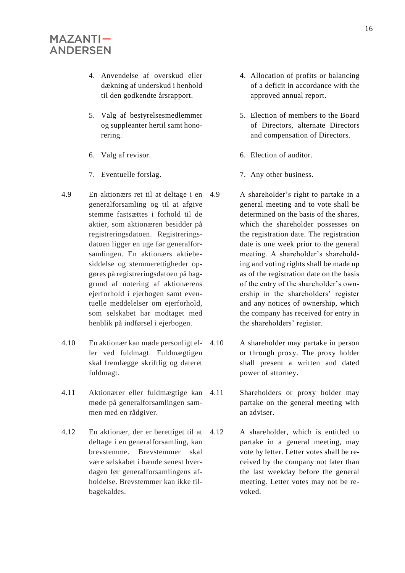- 4. Anvendelse af overskud eller dækning af underskud i henhold til den godkendte årsrapport.
- 5. Valg af bestyrelsesmedlemmer og suppleanter hertil samt honorering.
- 6. Valg af revisor.
- 7. Eventuelle forslag.
- 4.9 En aktionærs ret til at deltage i en generalforsamling og til at afgive stemme fastsættes i forhold til de aktier, som aktionæren besidder på registreringsdatoen. Registreringsdatoen ligger en uge før generalforsamlingen. En aktionærs aktiebesiddelse og stemmerettigheder opgøres på registreringsdatoen på baggrund af notering af aktionærens ejerforhold i ejerbogen samt eventuelle meddelelser om ejerforhold, som selskabet har modtaget med henblik på indførsel i ejerbogen.
- 4.10 En aktionær kan møde personligt eller ved fuldmagt. Fuldmægtigen skal fremlægge skriftlig og dateret fuldmagt.
- 4.11 Aktionærer eller fuldmægtige kan møde på generalforsamlingen sammen med en rådgiver.
- 4.12 En aktionær, der er berettiget til at deltage i en generalforsamling, kan brevstemme. Brevstemmer skal være selskabet i hænde senest hverdagen før generalforsamlingens afholdelse. Brevstemmer kan ikke tilbagekaldes.
- 4. Allocation of profits or balancing of a deficit in accordance with the approved annual report.
- 5. Election of members to the Board of Directors, alternate Directors and compensation of Directors.
- 6. Election of auditor.
- 7. Any other business.
- A shareholder's right to partake in a general meeting and to vote shall be determined on the basis of the shares, which the shareholder possesses on the registration date. The registration date is one week prior to the general meeting. A shareholder's shareholding and voting rights shall be made up as of the registration date on the basis of the entry of the shareholder's ownership in the shareholders' register and any notices of ownership, which the company has received for entry in the shareholders' register.
- 4.10 A shareholder may partake in person or through proxy. The proxy holder shall present a written and dated power of attorney.
	- Shareholders or proxy holder may partake on the general meeting with an adviser.
	- 4.12 A shareholder, which is entitled to partake in a general meeting, may vote by letter. Letter votes shall be received by the company not later than the last weekday before the general meeting. Letter votes may not be revoked.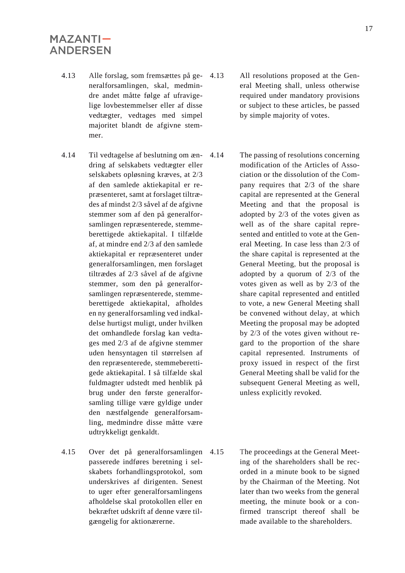- 4.13 Alle forslag, som fremsættes på generalforsamlingen, skal, medmindre andet måtte følge af ufravigelige lovbestemmelser eller af disse vedtægter, vedtages med simpel majoritet blandt de afgivne stemmer.
- 4.14 Til vedtagelse af beslutning om ændring af selskabets vedtægter eller selskabets opløsning kræves, at 2/3 af den samlede aktiekapital er repræsenteret, samt at forslaget tiltrædes af mindst 2/3 såvel af de afgivne stemmer som af den på generalforsamlingen repræsenterede, stemmeberettigede aktiekapital. I tilfælde af, at mindre end 2/3 af den samlede aktiekapital er repræsenteret under generalforsamlingen, men forslaget tiltrædes af 2/3 såvel af de afgivne stemmer, som den på generalforsamlingen repræsenterede, stemmeberettigede aktiekapital, afholdes en ny generalforsamling ved indkaldelse hurtigst muligt, under hvilken det omhandlede forslag kan vedtages med 2/3 af de afgivne stemmer uden hensyntagen til størrelsen af den repræsenterede, stemmeberettigede aktiekapital. I så tilfælde skal fuldmagter udstedt med henblik på brug under den første generalforsamling tillige være gyldige under den næstfølgende generalforsamling, medmindre disse måtte være udtrykkeligt genkaldt.
- 4.15 Over det på generalforsamlingen passerede indføres beretning i selskabets forhandlingsprotokol, som underskrives af dirigenten. Senest to uger efter generalforsamlingens afholdelse skal protokollen eller en bekræftet udskrift af denne være tilgængelig for aktionærerne.
- 4.13 All resolutions proposed at the General Meeting shall, unless otherwise required under mandatory provisions or subject to these articles, be passed by simple majority of votes.
- 4.14 The passing of resolutions concerning modification of the Articles of Association or the dissolution of the Company requires that 2/3 of the share capital are represented at the General Meeting and that the proposal is adopted by 2/3 of the votes given as well as of the share capital represented and entitled to vote at the General Meeting. In case less than 2/3 of the share capital is represented at the General Meeting, but the proposal is adopted by a quorum of 2/3 of the votes given as well as by 2/3 of the share capital represented and entitled to vote, a new General Meeting shall be convened without delay, at which Meeting the proposal may be adopted by 2/3 of the votes given without regard to the proportion of the share capital represented. Instruments of proxy issued in respect of the first General Meeting shall be valid for the subsequent General Meeting as well, unless explicitly revoked.
	- The proceedings at the General Meeting of the shareholders shall be recorded in a minute book to be signed by the Chairman of the Meeting. Not later than two weeks from the general meeting, the minute book or a confirmed transcript thereof shall be made available to the shareholders.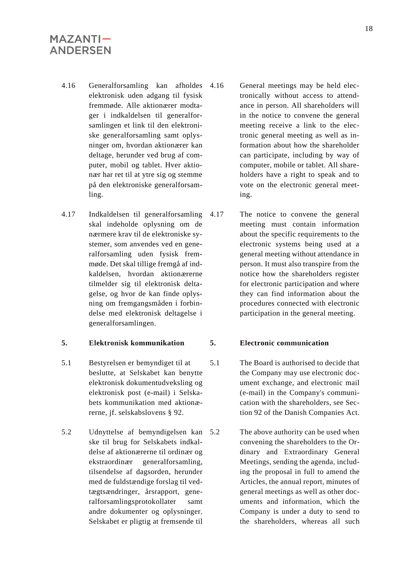- 4.16 Generalforsamling kan afholdes elektronisk uden adgang til fysisk fremmøde. Alle aktionærer modtager i indkaldelsen til generalforsamlingen et link til den elektroniske generalforsamling samt oplysninger om, hvordan aktionærer kan deltage, herunder ved brug af computer, mobil og tablet. Hver aktionær har ret til at ytre sig og stemme på den elektroniske generalforsamling.
- 4.17 Indkaldelsen til generalforsamling skal indeholde oplysning om de nærmere krav til de elektroniske systemer, som anvendes ved en generalforsamling uden fysisk fremmøde. Det skal tillige fremgå af indkaldelsen, hvordan aktionærerne tilmelder sig til elektronisk deltagelse, og hvor de kan finde oplysning om fremgangsmåden i forbindelse med elektronisk deltagelse i generalforsamlingen.

#### **5. Elektronisk kommunikation 5. Electronic communication**

- 5.1 Bestyrelsen er bemyndiget til at beslutte, at Selskabet kan benytte elektronisk dokumentudveksling og elektronisk post (e-mail) i Selskabets kommunikation med aktionærerne, jf. selskabslovens § 92.
- 5.2 Udnyttelse af bemyndigelsen kan ske til brug for Selskabets indkaldelse af aktionærerne til ordinær og ekstraordinær generalforsamling, tilsendelse af dagsorden, herunder med de fuldstændige forslag til vedtægtsændringer, årsrapport, generalforsamlingsprotokollater samt andre dokumenter og oplysninger, Selskabet er pligtig at fremsende til
- 4.16 General meetings may be held electronically without access to attendance in person. All shareholders will in the notice to convene the general meeting receive a link to the electronic general meeting as well as information about how the shareholder can participate, including by way of computer, mobile or tablet. All shareholders have a right to speak and to vote on the electronic general meeting.
- 4.17 The notice to convene the general meeting must contain information about the specific requirements to the electronic systems being used at a general meeting without attendance in person. It must also transpire from the notice how the shareholders register for electronic participation and where they can find information about the procedures connected with electronic participation in the general meeting.

- 5.1 The Board is authorised to decide that the Company may use electronic document exchange, and electronic mail (e-mail) in the Company's communication with the shareholders, see Section 92 of the Danish Companies Act.
	- The above authority can be used when convening the shareholders to the Ordinary and Extraordinary General Meetings, sending the agenda, including the proposal in full to amend the Articles, the annual report, minutes of general meetings as well as other documents and information, which the Company is under a duty to send to the shareholders, whereas all such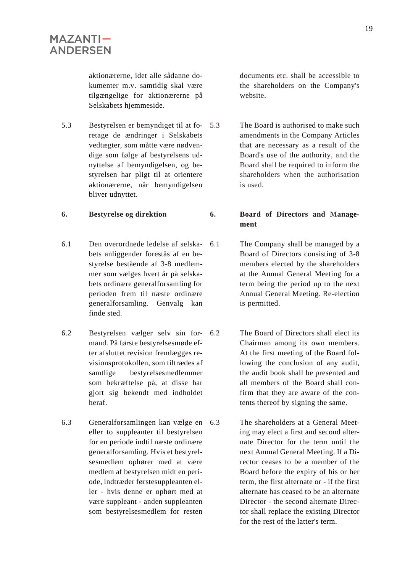aktionærerne, idet alle sådanne dokumenter m.v. samtidig skal være tilgængelige for aktionærerne på Selskabets hjemmeside.

5.3 Bestyrelsen er bemyndiget til at foretage de ændringer i Selskabets vedtægter, som måtte være nødvendige som følge af bestyrelsens udnyttelse af bemyndigelsen, og bestyrelsen har pligt til at orientere aktionærerne, når bemyndigelsen bliver udnyttet.

- 6.1 Den overordnede ledelse af selskabets anliggender forestås af en bestyrelse bestående af 3-8 medlemmer som vælges hvert år på selskabets ordinære generalforsamling for perioden frem til næste ordinære generalforsamling. Genvalg kan finde sted.
- 6.2 Bestyrelsen vælger selv sin formand. På første bestyrelsesmøde efter afsluttet revision fremlægges revisionsprotokollen, som tiltrædes af samtlige bestyrelsesmedlemmer som bekræftelse på, at disse har gjort sig bekendt med indholdet heraf.
- 6.3 Generalforsamlingen kan vælge en eller to suppleanter til bestyrelsen for en periode indtil næste ordinære generalforsamling. Hvis et bestyrelsesmedlem ophører med at være medlem af bestyrelsen midt en periode, indtræder førstesuppleanten eller - hvis denne er ophørt med at være suppleant - anden suppleanten som bestyrelsesmedlem for resten

documents etc. shall be accessible to the shareholders on the Company's website.

The Board is authorised to make such amendments in the Company Articles that are necessary as a result of the Board's use of the authority, and the Board shall be required to inform the shareholders when the authorisation is used.

**6. Bestyrelse og direktion 6. Board of Directors and Management**

- 6.1 The Company shall be managed by a Board of Directors consisting of 3-8 members elected by the shareholders at the Annual General Meeting for a term being the period up to the next Annual General Meeting. Re-election is permitted.
	- The Board of Directors shall elect its Chairman among its own members. At the first meeting of the Board following the conclusion of any audit, the audit book shall be presented and all members of the Board shall confirm that they are aware of the contents thereof by signing the same.
	- The shareholders at a General Meeting may elect a first and second alternate Director for the term until the next Annual General Meeting. If a Director ceases to be a member of the Board before the expiry of his or her term, the first alternate or - if the first alternate has ceased to be an alternate Director - the second alternate Director shall replace the existing Director for the rest of the latter's term.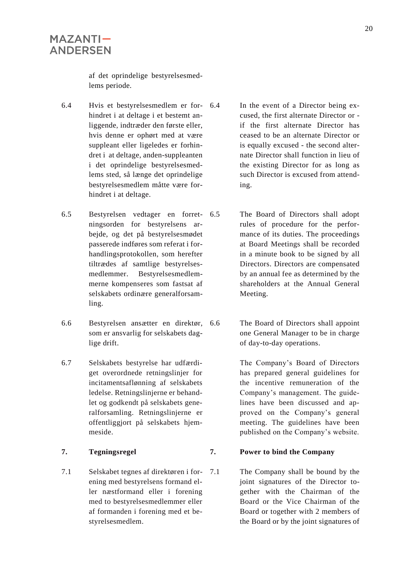af det oprindelige bestyrelsesmedlems periode.

- 6.4 Hvis et bestyrelsesmedlem er forhindret i at deltage i et bestemt anliggende, indtræder den første eller, hvis denne er ophørt med at være suppleant eller ligeledes er forhindret i at deltage, anden-suppleanten i det oprindelige bestyrelsesmedlems sted, så længe det oprindelige bestyrelsesmedlem måtte være forhindret i at deltage.
- 6.5 Bestyrelsen vedtager en forretningsorden for bestyrelsens arbejde, og det på bestyrelsesmødet passerede indføres som referat i forhandlingsprotokollen, som herefter tiltrædes af samtlige bestyrelsesmedlemmer. Bestyrelsesmedlemmerne kompenseres som fastsat af selskabets ordinære generalforsamling.
- 6.6 Bestyrelsen ansætter en direktør, som er ansvarlig for selskabets daglige drift.
- 6.7 Selskabets bestyrelse har udfærdiget overordnede retningslinjer for incitamentsaflønning af selskabets ledelse. Retningslinjerne er behandlet og godkendt på selskabets generalforsamling. Retningslinjerne er offentliggjort på selskabets hjemmeside.

7.1 Selskabet tegnes af direktøren i forening med bestyrelsens formand eller næstformand eller i forening med to bestyrelsesmedlemmer eller af formanden i forening med et bestyrelsesmedlem.

- In the event of a Director being excused, the first alternate Director or if the first alternate Director has ceased to be an alternate Director or is equally excused - the second alternate Director shall function in lieu of the existing Director for as long as such Director is excused from attending.
- 6.5 The Board of Directors shall adopt rules of procedure for the performance of its duties. The proceedings at Board Meetings shall be recorded in a minute book to be signed by all Directors. Directors are compensated by an annual fee as determined by the shareholders at the Annual General Meeting.
	- The Board of Directors shall appoint one General Manager to be in charge of day-to-day operations.

The Company's Board of Directors has prepared general guidelines for the incentive remuneration of the Company's management. The guidelines have been discussed and approved on the Company's general meeting. The guidelines have been published on the Company's website.

#### **7. Tegningsregel 7. Power to bind the Company**

7.1 The Company shall be bound by the joint signatures of the Director together with the Chairman of the Board or the Vice Chairman of the Board or together with 2 members of the Board or by the joint signatures of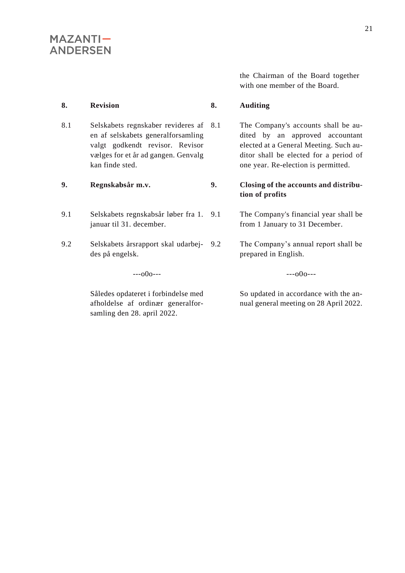the Chairman of the Board together with one member of the Board.

#### **8. Revision 8. Auditing**

8.1 Selskabets regnskaber revideres af 8.1 en af selskabets generalforsamling valgt godkendt revisor. Revisor vælges for et år ad gangen. Genvalg kan finde sted.

- 9.1 Selskabets regnskabsår løber fra 1. januar til 31. december.
- 9.2 Selskabets årsrapport skal udarbejdes på engelsk.

 $-000--$ 

Således opdateret i forbindelse med afholdelse af ordinær generalforsamling den 28. april 2022.

The Company's accounts shall be audited by an approved accountant elected at a General Meeting. Such auditor shall be elected for a period of one year. Re-election is permitted.

#### **9. Regnskabsår m.v. 9. Closing of the accounts and distribution of profits**

9.1 The Company's financial year shall be from 1 January to 31 December.

9.2 The Company's annual report shall be prepared in English.

 $-000--$ 

So updated in accordance with the annual general meeting on 28 April 2022.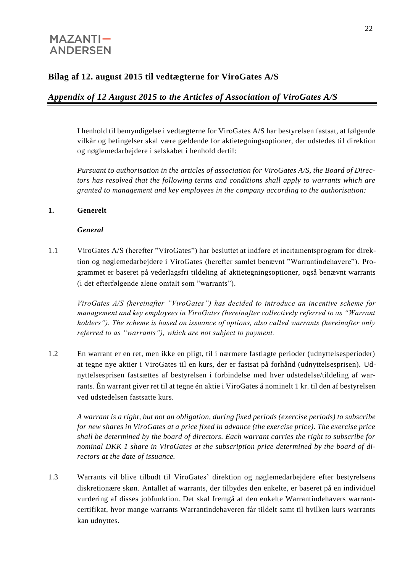## **Bilag af 12. august 2015 til vedtægterne for ViroGates A/S**

## *Appendix of 12 August 2015 to the Articles of Association of ViroGates A/S*

I henhold til bemyndigelse i vedtægterne for ViroGates A/S har bestyrelsen fastsat, at følgende vilkår og betingelser skal være gældende for aktietegningsoptioner, der udstedes til direktion og nøglemedarbejdere i selskabet i henhold dertil:

*Pursuant to authorisation in the articles of association for ViroGates A/S, the Board of Directors has resolved that the following terms and conditions shall apply to warrants which are granted to management and key employees in the company according to the authorisation:*

#### **1. Generelt**

#### *General*

1.1 ViroGates A/S (herefter "ViroGates") har besluttet at indføre et incitamentsprogram for direktion og nøglemedarbejdere i ViroGates (herefter samlet benævnt "Warrantindehavere"). Programmet er baseret på vederlagsfri tildeling af aktietegningsoptioner, også benævnt warrants (i det efterfølgende alene omtalt som "warrants").

*ViroGates A/S (hereinafter "ViroGates") has decided to introduce an incentive scheme for management and key employees in ViroGates (hereinafter collectively referred to as "Warrant holders"). The scheme is based on issuance of options, also called warrants (hereinafter only referred to as "warrants"), which are not subject to payment.* 

1.2 En warrant er en ret, men ikke en pligt, til i nærmere fastlagte perioder (udnyttelsesperioder) at tegne nye aktier i ViroGates til en kurs, der er fastsat på forhånd (udnyttelsesprisen). Udnyttelsesprisen fastsættes af bestyrelsen i forbindelse med hver udstedelse/tildeling af warrants. Én warrant giver ret til at tegne én aktie i ViroGates á nominelt 1 kr. til den af bestyrelsen ved udstedelsen fastsatte kurs.

*A warrant is a right, but not an obligation, during fixed periods (exercise periods) to subscribe for new shares in ViroGates at a price fixed in advance (the exercise price). The exercise price shall be determined by the board of directors. Each warrant carries the right to subscribe for nominal DKK 1 share in ViroGates at the subscription price determined by the board of directors at the date of issuance.* 

1.3 Warrants vil blive tilbudt til ViroGates' direktion og nøglemedarbejdere efter bestyrelsens diskretionære skøn. Antallet af warrants, der tilbydes den enkelte, er baseret på en individuel vurdering af disses jobfunktion. Det skal fremgå af den enkelte Warrantindehavers warrantcertifikat, hvor mange warrants Warrantindehaveren får tildelt samt til hvilken kurs warrants kan udnyttes.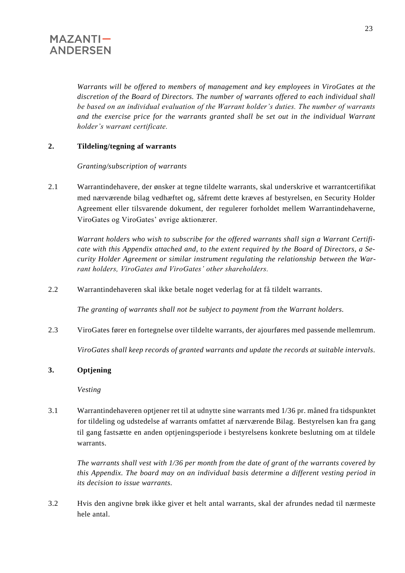*Warrants will be offered to members of management and key employees in ViroGates at the discretion of the Board of Directors. The number of warrants offered to each individual shall be based on an individual evaluation of the Warrant holder's duties. The number of warrants and the exercise price for the warrants granted shall be set out in the individual Warrant holder's warrant certificate.* 

### **2. Tildeling/tegning af warrants**

*Granting/subscription of warrants*

2.1 Warrantindehavere, der ønsker at tegne tildelte warrants, skal underskrive et warrantcertifikat med nærværende bilag vedhæftet og, såfremt dette kræves af bestyrelsen, en Security Holder Agreement eller tilsvarende dokument, der regulerer forholdet mellem Warrantindehaverne, ViroGates og ViroGates' øvrige aktionærer.

*Warrant holders who wish to subscribe for the offered warrants shall sign a Warrant Certificate with this Appendix attached and, to the extent required by the Board of Directors, a Security Holder Agreement or similar instrument regulating the relationship between the Warrant holders, ViroGates and ViroGates' other shareholders.*

2.2 Warrantindehaveren skal ikke betale noget vederlag for at få tildelt warrants.

*The granting of warrants shall not be subject to payment from the Warrant holders.*

2.3 ViroGates fører en fortegnelse over tildelte warrants, der ajourføres med passende mellemrum.

*ViroGates shall keep records of granted warrants and update the records at suitable intervals.*

### **3. Optjening**

*Vesting*

3.1 Warrantindehaveren optjener ret til at udnytte sine warrants med 1/36 pr. måned fra tidspunktet for tildeling og udstedelse af warrants omfattet af nærværende Bilag. Bestyrelsen kan fra gang til gang fastsætte en anden optjeningsperiode i bestyrelsens konkrete beslutning om at tildele warrants.

*The warrants shall vest with 1/36 per month from the date of grant of the warrants covered by this Appendix. The board may on an individual basis determine a different vesting period in its decision to issue warrants.*

3.2 Hvis den angivne brøk ikke giver et helt antal warrants, skal der afrundes nedad til nærmeste hele antal.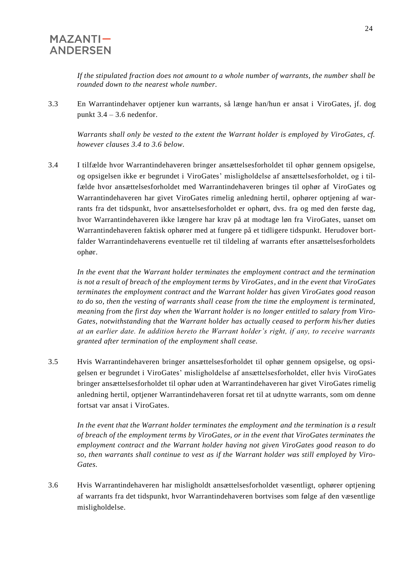*If the stipulated fraction does not amount to a whole number of warrants, the number shall be rounded down to the nearest whole number.*

3.3 En Warrantindehaver optjener kun warrants, så længe han/hun er ansat i ViroGates, jf. dog punkt  $3.4 - 3.6$  nedenfor.

Warrants shall only be vested to the extent the Warrant holder is employed by ViroGates, cf. *however clauses 3.4 to 3.6 below.* 

3.4 I tilfælde hvor Warrantindehaveren bringer ansættelsesforholdet til ophør gennem opsigelse, og opsigelsen ikke er begrundet i ViroGates' misligholdelse af ansættelsesforholdet, og i tilfælde hvor ansættelsesforholdet med Warrantindehaveren bringes til ophør af ViroGates og Warrantindehaveren har givet ViroGates rimelig anledning hertil, ophører optjening af warrants fra det tidspunkt, hvor ansættelsesforholdet er ophørt, dvs. fra og med den første dag, hvor Warrantindehaveren ikke længere har krav på at modtage løn fra ViroGates, uanset om Warrantindehaveren faktisk ophører med at fungere på et tidligere tidspunkt. Herudover bortfalder Warrantindehaverens eventuelle ret til tildeling af warrants efter ansættelsesforholdets ophør.

*In the event that the Warrant holder terminates the employment contract and the termination is not a result of breach of the employment terms by ViroGates, and in the event that ViroGates terminates the employment contract and the Warrant holder has given ViroGates good reason to do so, then the vesting of warrants shall cease from the time the employment is terminated, meaning from the first day when the Warrant holder is no longer entitled to salary from Viro-Gates, notwithstanding that the Warrant holder has actually ceased to perform his/her duties at an earlier date. In addition hereto the Warrant holder's right, if any, to receive warrants granted after termination of the employment shall cease.*

3.5 Hvis Warrantindehaveren bringer ansættelsesforholdet til ophør gennem opsigelse, og opsigelsen er begrundet i ViroGates' misligholdelse af ansættelsesforholdet, eller hvis ViroGates bringer ansættelsesforholdet til ophør uden at Warrantindehaveren har givet ViroGates rimelig anledning hertil, optjener Warrantindehaveren forsat ret til at udnytte warrants, som om denne fortsat var ansat i ViroGates.

*In the event that the Warrant holder terminates the employment and the termination is a result of breach of the employment terms by ViroGates, or in the event that ViroGates terminates the employment contract and the Warrant holder having not given ViroGates good reason to do so, then warrants shall continue to vest as if the Warrant holder was still employed by Viro-Gates.* 

3.6 Hvis Warrantindehaveren har misligholdt ansættelsesforholdet væsentligt, ophører optjening af warrants fra det tidspunkt, hvor Warrantindehaveren bortvises som følge af den væsentlige misligholdelse.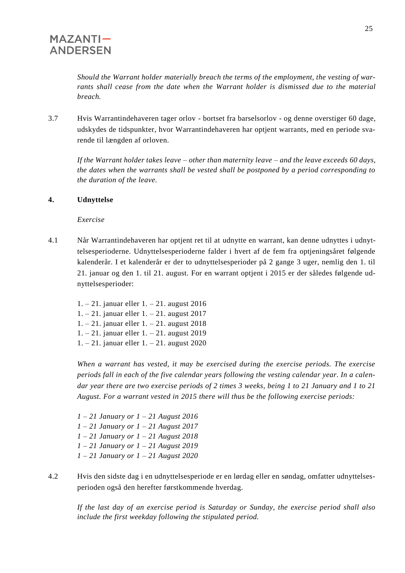*Should the Warrant holder materially breach the terms of the employment, the vesting of warrants shall cease from the date when the Warrant holder is dismissed due to the material breach.*

3.7 Hvis Warrantindehaveren tager orlov - bortset fra barselsorlov - og denne overstiger 60 dage, udskydes de tidspunkter, hvor Warrantindehaveren har optjent warrants, med en periode svarende til længden af orloven.

*If the Warrant holder takes leave – other than maternity leave – and the leave exceeds 60 days, the dates when the warrants shall be vested shall be postponed by a period corresponding to the duration of the leave.* 

#### **4. Udnyttelse**

*Exercise*

- 4.1 Når Warrantindehaveren har optjent ret til at udnytte en warrant, kan denne udnyttes i udnyttelsesperioderne. Udnyttelsesperioderne falder i hvert af de fem fra optjeningsåret følgende kalenderår. I et kalenderår er der to udnyttelsesperioder på 2 gange 3 uger, nemlig den 1. til 21. januar og den 1. til 21. august. For en warrant optjent i 2015 er der således følgende udnyttelsesperioder:
	- 1. 21. januar eller 1. 21. august 2016
	- 1. 21. januar eller 1. 21. august 2017
	- 1. 21. januar eller 1. 21. august 2018
	- 1. 21. januar eller 1. 21. august 2019
	- 1. 21. januar eller 1. 21. august 2020

*When a warrant has vested, it may be exercised during the exercise periods. The exercise periods fall in each of the five calendar years following the vesting calendar year. In a calendar year there are two exercise periods of 2 times 3 weeks, being 1 to 21 January and 1 to 21 August. For a warrant vested in 2015 there will thus be the following exercise periods:*

*1 – 21 January or 1 – 21 August 2016 1 – 21 January or 1 – 21 August 2017 1 – 21 January or 1 – 21 August 2018 1 – 21 January or 1 – 21 August 2019 1 – 21 January or 1 – 21 August 2020*

4.2 Hvis den sidste dag i en udnyttelsesperiode er en lørdag eller en søndag, omfatter udnyttelsesperioden også den herefter førstkommende hverdag.

*If the last day of an exercise period is Saturday or Sunday, the exercise period shall also include the first weekday following the stipulated period.*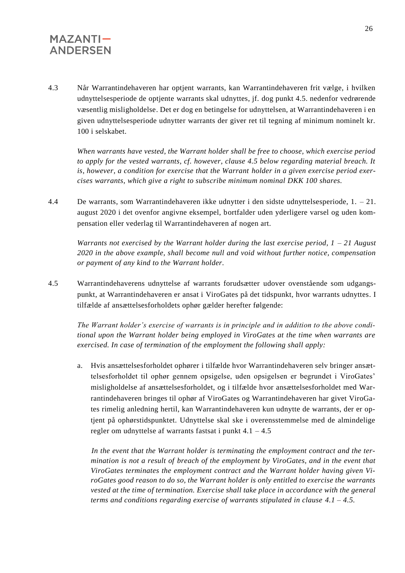4.3 Når Warrantindehaveren har optjent warrants, kan Warrantindehaveren frit vælge, i hvilken udnyttelsesperiode de optjente warrants skal udnyttes, jf. dog punkt 4.5. nedenfor vedrørende væsentlig misligholdelse. Det er dog en betingelse for udnyttelsen, at Warrantindehaveren i en given udnyttelsesperiode udnytter warrants der giver ret til tegning af minimum nominelt kr. 100 i selskabet.

*When warrants have vested, the Warrant holder shall be free to choose, which exercise period to apply for the vested warrants, cf. however, clause 4.5 below regarding material breach. It is, however, a condition for exercise that the Warrant holder in a given exercise period exercises warrants, which give a right to subscribe minimum nominal DKK 100 shares.*

4.4 De warrants, som Warrantindehaveren ikke udnytter i den sidste udnyttelsesperiode, 1. – 21. august 2020 i det ovenfor angivne eksempel, bortfalder uden yderligere varsel og uden kompensation eller vederlag til Warrantindehaveren af nogen art.

*Warrants not exercised by the Warrant holder during the last exercise period, 1 – 21 August 2020 in the above example, shall become null and void without further notice, compensation or payment of any kind to the Warrant holder.*

4.5 Warrantindehaverens udnyttelse af warrants forudsætter udover ovenstående som udgangspunkt, at Warrantindehaveren er ansat i ViroGates på det tidspunkt, hvor warrants udnyttes. I tilfælde af ansættelsesforholdets ophør gælder herefter følgende:

*The Warrant holder's exercise of warrants is in principle and in addition to the above conditional upon the Warrant holder being employed in ViroGates at the time when warrants are exercised. In case of termination of the employment the following shall apply:*

a. Hvis ansættelsesforholdet ophører i tilfælde hvor Warrantindehaveren selv bringer ansættelsesforholdet til ophør gennem opsigelse, uden opsigelsen er begrundet i ViroGates' misligholdelse af ansættelsesforholdet, og i tilfælde hvor ansættelsesforholdet med Warrantindehaveren bringes til ophør af ViroGates og Warrantindehaveren har givet ViroGates rimelig anledning hertil, kan Warrantindehaveren kun udnytte de warrants, der er optjent på ophørstidspunktet. Udnyttelse skal ske i overensstemmelse med de almindelige regler om udnyttelse af warrants fastsat i punkt 4.1 – 4.5

*In the event that the Warrant holder is terminating the employment contract and the termination is not a result of breach of the employment by ViroGates, and in the event that ViroGates terminates the employment contract and the Warrant holder having given ViroGates good reason to do so, the Warrant holder is only entitled to exercise the warrants vested at the time of termination. Exercise shall take place in accordance with the general terms and conditions regarding exercise of warrants stipulated in clause 4.1 – 4.5.*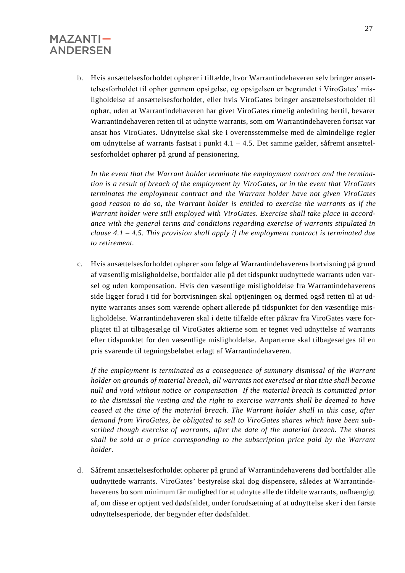b. Hvis ansættelsesforholdet ophører i tilfælde, hvor Warrantindehaveren selv bringer ansættelsesforholdet til ophør gennem opsigelse, og opsigelsen er begrundet i ViroGates' misligholdelse af ansættelsesforholdet, eller hvis ViroGates bringer ansættelsesforholdet til ophør, uden at Warrantindehaveren har givet ViroGates rimelig anledning hertil, bevarer Warrantindehaveren retten til at udnytte warrants, som om Warrantindehaveren fortsat var ansat hos ViroGates. Udnyttelse skal ske i overensstemmelse med de almindelige regler om udnyttelse af warrants fastsat i punkt 4.1 – 4.5. Det samme gælder, såfremt ansættelsesforholdet ophører på grund af pensionering.

*In the event that the Warrant holder terminate the employment contract and the termination is a result of breach of the employment by ViroGates, or in the event that ViroGates terminates the employment contract and the Warrant holder have not given ViroGates good reason to do so, the Warrant holder is entitled to exercise the warrants as if the Warrant holder were still employed with ViroGates. Exercise shall take place in accordance with the general terms and conditions regarding exercise of warrants stipulated in clause 4.1 – 4.5. This provision shall apply if the employment contract is terminated due to retirement.*

c. Hvis ansættelsesforholdet ophører som følge af Warrantindehaverens bortvisning på grund af væsentlig misligholdelse, bortfalder alle på det tidspunkt uudnyttede warrants uden varsel og uden kompensation. Hvis den væsentlige misligholdelse fra Warrantindehaverens side ligger forud i tid for bortvisningen skal optjeningen og dermed også retten til at udnytte warrants anses som værende ophørt allerede på tidspunktet for den væsentlige misligholdelse. Warrantindehaveren skal i dette tilfælde efter påkrav fra ViroGates være forpligtet til at tilbagesælge til ViroGates aktierne som er tegnet ved udnyttelse af warrants efter tidspunktet for den væsentlige misligholdelse. Anparterne skal tilbagesælges til en pris svarende til tegningsbeløbet erlagt af Warrantindehaveren.

*If the employment is terminated as a consequence of summary dismissal of the Warrant holder on grounds of material breach, all warrants not exercised at that time shall become null and void without notice or compensation If the material breach is committed prior to the dismissal the vesting and the right to exercise warrants shall be deemed to have ceased at the time of the material breach. The Warrant holder shall in this case, after demand from ViroGates, be obligated to sell to ViroGates shares which have been subscribed though exercise of warrants, after the date of the material breach. The shares shall be sold at a price corresponding to the subscription price paid by the Warrant holder.*

d. Såfremt ansættelsesforholdet ophører på grund af Warrantindehaverens død bortfalder alle uudnyttede warrants. ViroGates' bestyrelse skal dog dispensere, således at Warrantindehaverens bo som minimum får mulighed for at udnytte alle de tildelte warrants, uafhængigt af, om disse er optjent ved dødsfaldet, under forudsætning af at udnyttelse sker i den første udnyttelsesperiode, der begynder efter dødsfaldet.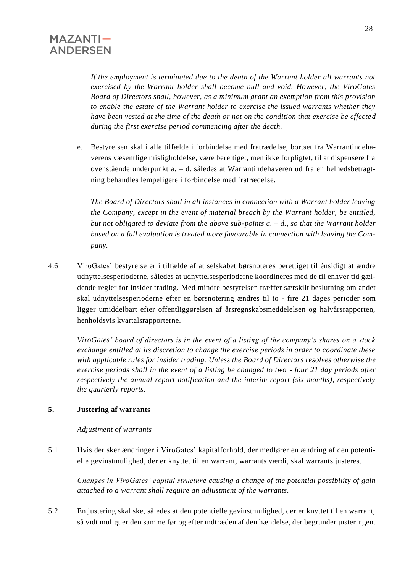*If the employment is terminated due to the death of the Warrant holder all warrants not exercised by the Warrant holder shall become null and void. However, the ViroGates Board of Directors shall, however, as a minimum grant an exemption from this provision to enable the estate of the Warrant holder to exercise the issued warrants whether they have been vested at the time of the death or not on the condition that exercise be effected during the first exercise period commencing after the death.* 

e. Bestyrelsen skal i alle tilfælde i forbindelse med fratrædelse, bortset fra Warrantindehaverens væsentlige misligholdelse, være berettiget, men ikke forpligtet, til at dispensere fra ovenstående underpunkt a. – d. således at Warrantindehaveren ud fra en helhedsbetragtning behandles lempeligere i forbindelse med fratrædelse.

*The Board of Directors shall in all instances in connection with a Warrant holder leaving the Company, except in the event of material breach by the Warrant holder, be entitled, but not obligated to deviate from the above sub-points a. – d., so that the Warrant holder based on a full evaluation is treated more favourable in connection with leaving the Company.*

4.6 ViroGates' bestyrelse er i tilfælde af at selskabet børsnoteres berettiget til énsidigt at ændre udnyttelsesperioderne, således at udnyttelsesperioderne koordineres med de til enhver tid gældende regler for insider trading. Med mindre bestyrelsen træffer særskilt beslutning om andet skal udnyttelsesperioderne efter en børsnotering ændres til to - fire 21 dages perioder som ligger umiddelbart efter offentliggørelsen af årsregnskabsmeddelelsen og halvårsrapporten, henholdsvis kvartalsrapporterne.

*ViroGates' board of directors is in the event of a listing of the company's shares on a stock exchange entitled at its discretion to change the exercise periods in order to coordinate these with applicable rules for insider trading. Unless the Board of Directors resolves otherwise the exercise periods shall in the event of a listing be changed to two - four 21 day periods after respectively the annual report notification and the interim report (six months), respectively the quarterly reports.*

#### **5. Justering af warrants**

#### *Adjustment of warrants*

5.1 Hvis der sker ændringer i ViroGates' kapitalforhold, der medfører en ændring af den potentielle gevinstmulighed, der er knyttet til en warrant, warrants værdi, skal warrants justeres.

*Changes in ViroGates' capital structure causing a change of the potential possibility of gain attached to a warrant shall require an adjustment of the warrants.*

5.2 En justering skal ske, således at den potentielle gevinstmulighed, der er knyttet til en warrant, så vidt muligt er den samme før og efter indtræden af den hændelse, der begrunder justeringen.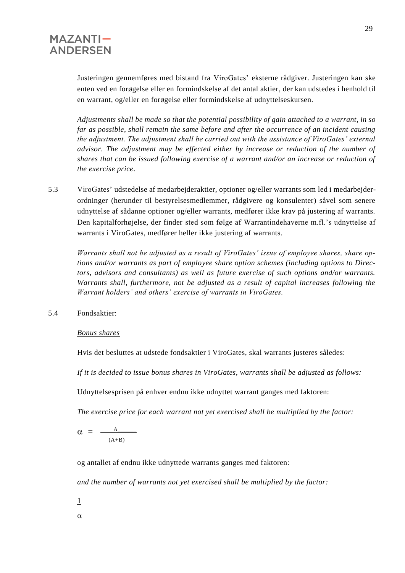Justeringen gennemføres med bistand fra ViroGates' eksterne rådgiver. Justeringen kan ske enten ved en forøgelse eller en formindskelse af det antal aktier, der kan udstedes i henhold til en warrant, og/eller en forøgelse eller formindskelse af udnyttelseskursen.

*Adjustments shall be made so that the potential possibility of gain attached to a warrant, in so far as possible, shall remain the same before and after the occurrence of an incident causing the adjustment. The adjustment shall be carried out with the assistance of ViroGates' external advisor. The adjustment may be effected either by increase or reduction of the number of shares that can be issued following exercise of a warrant and/or an increase or reduction of the exercise price.*

5.3 ViroGates' udstedelse af medarbejderaktier, optioner og/eller warrants som led i medarbejderordninger (herunder til bestyrelsesmedlemmer, rådgivere og konsulenter) såvel som senere udnyttelse af sådanne optioner og/eller warrants, medfører ikke krav på justering af warrants. Den kapitalforhøjelse, der finder sted som følge af Warrantindehaverne m.fl.'s udnyttelse af warrants i ViroGates, medfører heller ikke justering af warrants.

*Warrants shall not be adjusted as a result of ViroGates' issue of employee shares, share options and/or warrants as part of employee share option schemes (including options to Directors, advisors and consultants) as well as future exercise of such options and/or warrants. Warrants shall, furthermore, not be adjusted as a result of capital increases following the Warrant holders' and others' exercise of warrants in ViroGates.*

5.4 Fondsaktier:

*Bonus shares*

Hvis det besluttes at udstede fondsaktier i ViroGates, skal warrants justeres således:

*If it is decided to issue bonus shares in ViroGates, warrants shall be adjusted as follows:*

Udnyttelsesprisen på enhver endnu ikke udnyttet warrant ganges med faktoren:

*The exercise price for each warrant not yet exercised shall be multiplied by the factor:*

$$
\alpha = \frac{A}{(A+B)}
$$

og antallet af endnu ikke udnyttede warrants ganges med faktoren:

*and the number of warrants not yet exercised shall be multiplied by the factor:*

- 1
- $\alpha$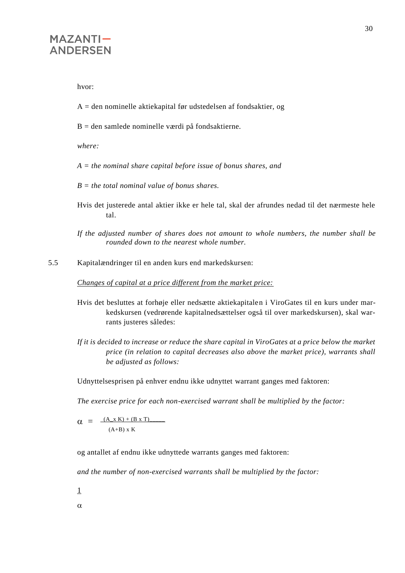hvor:

- A = den nominelle aktiekapital før udstedelsen af fondsaktier, og
- $B =$  den samlede nominelle værdi på fondsaktierne.

*where:*

*A = the nominal share capital before issue of bonus shares, and*

*B = the total nominal value of bonus shares.*

Hvis det justerede antal aktier ikke er hele tal, skal der afrundes nedad til det nærmeste hele tal.

5.5 Kapitalændringer til en anden kurs end markedskursen:

*Changes of capital at a price different from the market price:*

- Hvis det besluttes at forhøje eller nedsætte aktiekapitalen i ViroGates til en kurs under markedskursen (vedrørende kapitalnedsættelser også til over markedskursen), skal warrants justeres således:
- *If it is decided to increase or reduce the share capital in ViroGates at a price below the market price (in relation to capital decreases also above the market price), warrants shall be adjusted as follows:*

Udnyttelsesprisen på enhver endnu ikke udnyttet warrant ganges med faktoren:

*The exercise price for each non-exercised warrant shall be multiplied by the factor:*

 $\alpha = \frac{(A_x K) + (B x T)}{}$  $\ddot{\phantom{0}}$  $(A+B)$  x K

og antallet af endnu ikke udnyttede warrants ganges med faktoren:

*and the number of non-exercised warrants shall be multiplied by the factor:*

- 1
- $\alpha$

*If the adjusted number of shares does not amount to whole numbers, the number shall be rounded down to the nearest whole number.*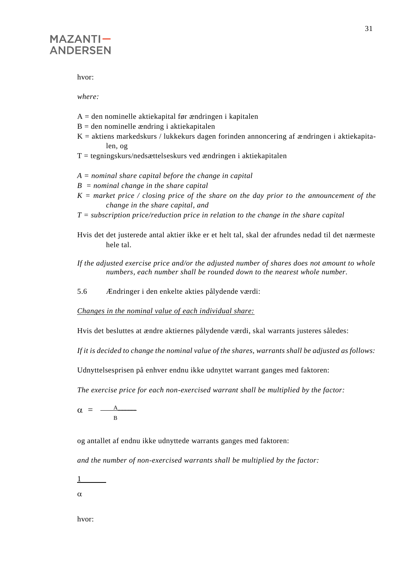hvor:

*where:*

- $A =$  den nominelle aktiekapital før ændringen i kapitalen
- $B =$  den nominelle ændring i aktiekapitalen
- $K =$  aktiens markedskurs / lukkekurs dagen forinden annoncering af ændringen i aktiekapitalen, og
- $T =$  tegningskurs/nedsættelseskurs ved ændringen i aktiekapitalen
- *A = nominal share capital before the change in capital*
- *B = nominal change in the share capital*
- *K = market price / closing price of the share on the day prior to the announcement of the change in the share capital, and*
- *T = subscription price/reduction price in relation to the change in the share capital*
- Hvis det det justerede antal aktier ikke er et helt tal, skal der afrundes nedad til det nærmeste hele tal.
- *If the adjusted exercise price and/or the adjusted number of shares does not amount to whole numbers, each number shall be rounded down to the nearest whole number.*
- 5.6 Ændringer i den enkelte akties pålydende værdi:

*Changes in the nominal value of each individual share:*

Hvis det besluttes at ændre aktiernes pålydende værdi, skal warrants justeres således:

*If it is decided to change the nominal value of the shares, warrants shall be adjusted as follows:*

Udnyttelsesprisen på enhver endnu ikke udnyttet warrant ganges med faktoren:

*The exercise price for each non-exercised warrant shall be multiplied by the factor:*

 $\alpha = -$  B

og antallet af endnu ikke udnyttede warrants ganges med faktoren:

*and the number of non-exercised warrants shall be multiplied by the factor:*

1

 $\alpha$ 

hvor: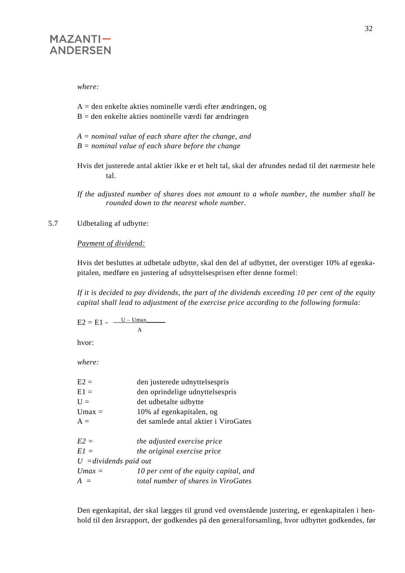*where:*

A = den enkelte akties nominelle værdi efter ændringen, og

- $B =$  den enkelte akties nominelle værdi før ændringen
- *A = nominal value of each share after the change, and B = nominal value of each share before the change*
- Hvis det justerede antal aktier ikke er et helt tal, skal der afrundes nedad til det nærmeste hele tal.

*If the adjusted number of shares does not amount to a whole number, the number shall be rounded down to the nearest whole number.*

### 5.7 Udbetaling af udbytte:

#### *Payment of dividend:*

Hvis det besluttes at udbetale udbytte, skal den del af udbyttet, der overstiger 10% af egenkapitalen, medføre en justering af udnyttelsesprisen efter denne formel:

*If it is decided to pay dividends, the part of the dividends exceeding 10 per cent of the equity capital shall lead to adjustment of the exercise price according to the following formula:*

 $E2 = E1 - \frac{U - Umax}{U - U}$ A

hvor:

*where:*

| $E2 =$                          | den justerede udnyttelsespris          |
|---------------------------------|----------------------------------------|
| $E1 =$                          | den oprindelige udnyttelsespris        |
| $U =$                           | det udbetalte udbytte                  |
| $Umax =$                        | 10% af egenkapitalen, og               |
| $A =$                           | det samlede antal aktier i ViroGates   |
| $E2 =$                          | the adjusted exercise price            |
| $E1 =$                          | the original exercise price            |
| $U = \text{dividends paid out}$ |                                        |
| $Umax =$                        | 10 per cent of the equity capital, and |
| $A =$                           | total number of shares in ViroGates    |
|                                 |                                        |

Den egenkapital, der skal lægges til grund ved ovenstående justering, er egenkapitalen i henhold til den årsrapport, der godkendes på den generalforsamling, hvor udbyttet godkendes, før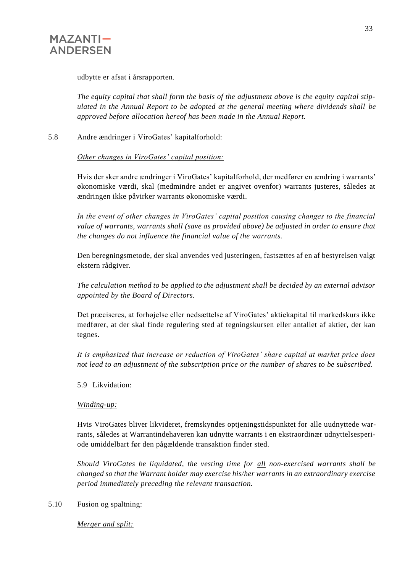

udbytte er afsat i årsrapporten.

*The equity capital that shall form the basis of the adjustment above is the equity capital stipulated in the Annual Report to be adopted at the general meeting where dividends shall be approved before allocation hereof has been made in the Annual Report.*

5.8 Andre ændringer i ViroGates' kapitalforhold:

*Other changes in ViroGates' capital position:*

Hvis der sker andre ændringer i ViroGates' kapitalforhold, der medfører en ændring i warrants' økonomiske værdi, skal (medmindre andet er angivet ovenfor) warrants justeres, således at ændringen ikke påvirker warrants økonomiske værdi.

*In the event of other changes in ViroGates' capital position causing changes to the financial value of warrants, warrants shall (save as provided above) be adjusted in order to ensure that the changes do not influence the financial value of the warrants.*

Den beregningsmetode, der skal anvendes ved justeringen, fastsættes af en af bestyrelsen valgt ekstern rådgiver.

*The calculation method to be applied to the adjustment shall be decided by an external advisor appointed by the Board of Directors.*

Det præciseres, at forhøjelse eller nedsættelse af ViroGates' aktiekapital til markedskurs ikke medfører, at der skal finde regulering sted af tegningskursen eller antallet af aktier, der kan tegnes.

*It is emphasized that increase or reduction of ViroGates' share capital at market price does not lead to an adjustment of the subscription price or the number of shares to be subscribed.*

5.9 Likvidation:

#### *Winding-up:*

Hvis ViroGates bliver likvideret, fremskyndes optjeningstidspunktet for alle uudnyttede warrants, således at Warrantindehaveren kan udnytte warrants i en ekstraordinær udnyttelsesperiode umiddelbart før den pågældende transaktion finder sted.

*Should ViroGates be liquidated, the vesting time for all non-exercised warrants shall be changed so that the Warrant holder may exercise his/her warrants in an extraordinary exercise period immediately preceding the relevant transaction.*

5.10 Fusion og spaltning:

*Merger and split:*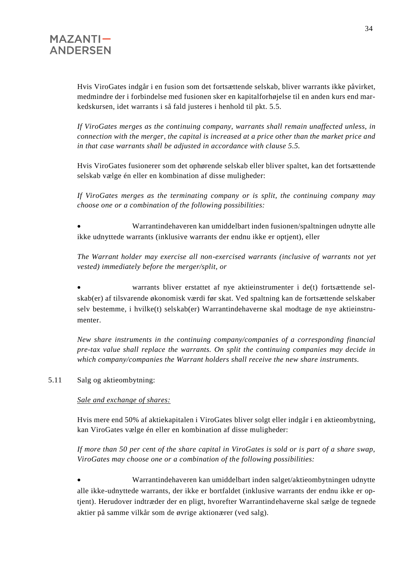Hvis ViroGates indgår i en fusion som det fortsættende selskab, bliver warrants ikke påvirket, medmindre der i forbindelse med fusionen sker en kapitalforhøjelse til en anden kurs end markedskursen, idet warrants i så fald justeres i henhold til pkt. 5.5.

*If ViroGates merges as the continuing company, warrants shall remain unaffected unless, in connection with the merger, the capital is increased at a price other than the market price and in that case warrants shall be adjusted in accordance with clause 5.5.*

Hvis ViroGates fusionerer som det ophørende selskab eller bliver spaltet, kan det fortsættende selskab vælge én eller en kombination af disse muligheder:

*If ViroGates merges as the terminating company or is split, the continuing company may choose one or a combination of the following possibilities:*

• Warrantindehaveren kan umiddelbart inden fusionen/spaltningen udnytte alle ikke udnyttede warrants (inklusive warrants der endnu ikke er optjent), eller

*The Warrant holder may exercise all non-exercised warrants (inclusive of warrants not yet vested) immediately before the merger/split, or*

• warrants bliver erstattet af nye aktieinstrumenter i de(t) fortsættende selskab(er) af tilsvarende økonomisk værdi før skat. Ved spaltning kan de fortsættende selskaber selv bestemme, i hvilke(t) selskab(er) Warrantindehaverne skal modtage de nye aktieinstrumenter.

*New share instruments in the continuing company/companies of a corresponding financial pre-tax value shall replace the warrants. On split the continuing companies may decide in which company/companies the Warrant holders shall receive the new share instruments.*

#### 5.11 Salg og aktieombytning:

#### *Sale and exchange of shares:*

Hvis mere end 50% af aktiekapitalen i ViroGates bliver solgt eller indgår i en aktieombytning, kan ViroGates vælge én eller en kombination af disse muligheder:

*If more than 50 per cent of the share capital in ViroGates is sold or is part of a share swap, ViroGates may choose one or a combination of the following possibilities:*

• Warrantindehaveren kan umiddelbart inden salget/aktieombytningen udnytte alle ikke-udnyttede warrants, der ikke er bortfaldet (inklusive warrants der endnu ikke er optjent). Herudover indtræder der en pligt, hvorefter Warrantindehaverne skal sælge de tegnede aktier på samme vilkår som de øvrige aktionærer (ved salg).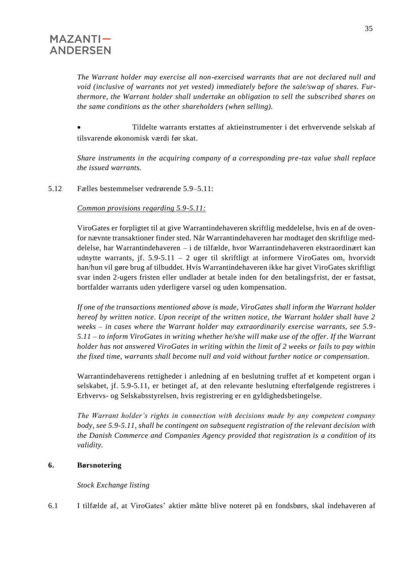*The Warrant holder may exercise all non-exercised warrants that are not declared null and void (inclusive of warrants not yet vested) immediately before the sale/swap of shares. Furthermore, the Warrant holder shall undertake an obligation to sell the subscribed shares on the same conditions as the other shareholders (when selling).*

• Tildelte warrants erstattes af aktieinstrumenter i det erhvervende selskab af tilsvarende økonomisk værdi før skat.

*Share instruments in the acquiring company of a corresponding pre-tax value shall replace the issued warrants.*

5.12 Fælles bestemmelser vedrørende 5.9–5.11:

#### *Common provisions regarding 5.9-5.11:*

ViroGates er forpligtet til at give Warrantindehaveren skriftlig meddelelse, hvis en af de ovenfor nævnte transaktioner finder sted. Når Warrantindehaveren har modtaget den skriftlige meddelelse, har Warrantindehaveren – i de tilfælde, hvor Warrantindehaveren ekstraordinært kan udnytte warrants, jf. 5.9-5.11 – 2 uger til skriftligt at informere ViroGates om, hvorvidt han/hun vil gøre brug af tilbuddet. Hvis Warrantindehaveren ikke har givet ViroGates skriftligt svar inden 2-ugers fristen eller undlader at betale inden for den betalingsfrist, der er fastsat, bortfalder warrants uden yderligere varsel og uden kompensation.

*If one of the transactions mentioned above is made, ViroGates shall inform the Warrant holder hereof by written notice. Upon receipt of the written notice, the Warrant holder shall have 2 weeks – in cases where the Warrant holder may extraordinarily exercise warrants, see 5.9- 5.11 – to inform ViroGates in writing whether he/she will make use of the offer. If the Warrant holder has not answered ViroGates in writing within the limit of 2 weeks or fails to pay within the fixed time, warrants shall become null and void without further notice or compensation.*

Warrantindehaverens rettigheder i anledning af en beslutning truffet af et kompetent organ i selskabet, jf. 5.9-5.11, er betinget af, at den relevante beslutning efterfølgende registreres i Erhvervs- og Selskabsstyrelsen, hvis registrering er en gyldighedsbetingelse.

*The Warrant holder's rights in connection with decisions made by any competent company body, see 5.9-5.11, shall be contingent on subsequent registration of the relevant decision with the Danish Commerce and Companies Agency provided that registration is a condition of its validity.*

#### **6. Børsnotering**

*Stock Exchange listing*

6.1 I tilfælde af, at ViroGates' aktier måtte blive noteret på en fondsbørs, skal indehaveren af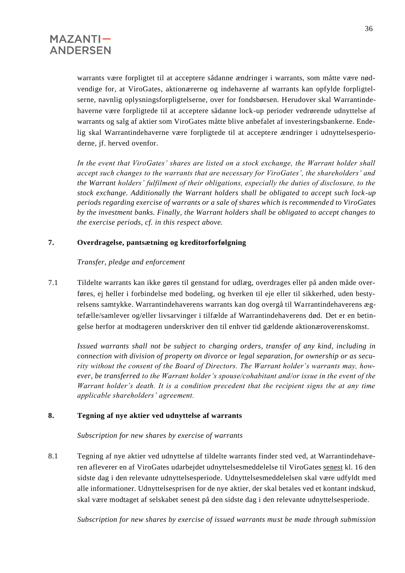

warrants være forpligtet til at acceptere sådanne ændringer i warrants, som måtte være nødvendige for, at ViroGates, aktionærerne og indehaverne af warrants kan opfylde forpligtelserne, navnlig oplysningsforpligtelserne, over for fondsbørsen. Herudover skal Warrantindehaverne være forpligtede til at acceptere sådanne lock-up perioder vedrørende udnyttelse af warrants og salg af aktier som ViroGates måtte blive anbefalet af investeringsbankerne. Endelig skal Warrantindehaverne være forpligtede til at acceptere ændringer i udnyttelsesperioderne, jf. herved ovenfor.

*In the event that ViroGates' shares are listed on a stock exchange, the Warrant holder shall accept such changes to the warrants that are necessary for ViroGates', the shareholders' and the Warrant holders' fulfilment of their obligations, especially the duties of disclosure, to the stock exchange. Additionally the Warrant holders shall be obligated to accept such lock -up periods regarding exercise of warrants or a sale of shares which is recommended to ViroGates by the investment banks. Finally, the Warrant holders shall be obligated to accept changes to the exercise periods, cf. in this respect above.*

#### **7. Overdragelse, pantsætning og kreditorforfølgning**

 *Transfer, pledge and enforcement*

7.1 Tildelte warrants kan ikke gøres til genstand for udlæg, overdrages eller på anden måde overføres, ej heller i forbindelse med bodeling, og hverken til eje eller til sikkerhed, uden bestyrelsens samtykke. Warrantindehaverens warrants kan dog overgå til Warrantindehaverens ægtefælle/samlever og/eller livsarvinger i tilfælde af Warrantindehaverens død. Det er en betingelse herfor at modtageren underskriver den til enhver tid gældende aktionæroverenskomst.

*Issued warrants shall not be subject to charging orders, transfer of any kind, including in connection with division of property on divorce or legal separation, for ownership or as security without the consent of the Board of Directors. The Warrant holder's warrants may, however, be transferred to the Warrant holder's spouse/cohabitant and/or issue in the event of the Warrant holder's death. It is a condition precedent that the recipient signs the at any time applicable shareholders' agreement.*

#### **8. Tegning af nye aktier ved udnyttelse af warrants**

*Subscription for new shares by exercise of warrants*

8.1 Tegning af nye aktier ved udnyttelse af tildelte warrants finder sted ved, at Warrantindehaveren afleverer en af ViroGates udarbejdet udnyttelsesmeddelelse til ViroGates senest kl. 16 den sidste dag i den relevante udnyttelsesperiode. Udnyttelsesmeddelelsen skal være udfyldt med alle informationer. Udnyttelsesprisen for de nye aktier, der skal betales ved et kontant indskud, skal være modtaget af selskabet senest på den sidste dag i den relevante udnyttelsesperiode.

*Subscription for new shares by exercise of issued warrants must be made through submission*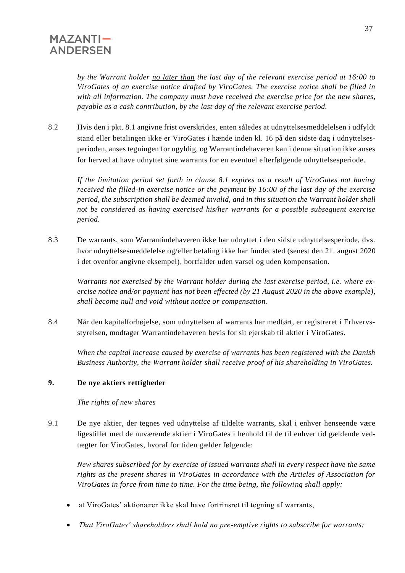*by the Warrant holder no later than the last day of the relevant exercise period at 16:00 to ViroGates of an exercise notice drafted by ViroGates. The exercise notice shall be filled in with all information. The company must have received the exercise price for the new shares, payable as a cash contribution, by the last day of the relevant exercise period.*

8.2 Hvis den i pkt. 8.1 angivne frist overskrides, enten således at udnyttelsesmeddelelsen i udfyldt stand eller betalingen ikke er ViroGates i hænde inden kl. 16 på den sidste dag i udnyttelsesperioden, anses tegningen for ugyldig, og Warrantindehaveren kan i denne situation ikke anses for herved at have udnyttet sine warrants for en eventuel efterfølgende udnyttelsesperiode.

*If the limitation period set forth in clause 8.1 expires as a result of ViroGates not having received the filled-in exercise notice or the payment by 16:00 of the last day of the exercise period, the subscription shall be deemed invalid, and in this situation the Warrant holder shall not be considered as having exercised his/her warrants for a possible subsequent exercise period.*

8.3 De warrants, som Warrantindehaveren ikke har udnyttet i den sidste udnyttelsesperiode, dvs. hvor udnyttelsesmeddelelse og/eller betaling ikke har fundet sted (senest den 21. august 2020 i det ovenfor angivne eksempel), bortfalder uden varsel og uden kompensation.

*Warrants not exercised by the Warrant holder during the last exercise period, i.e. where exercise notice and/or payment has not been effected (by 21 August 2020 in the above example), shall become null and void without notice or compensation.*

8.4 Når den kapitalforhøjelse, som udnyttelsen af warrants har medført, er registreret i Erhvervsstyrelsen, modtager Warrantindehaveren bevis for sit ejerskab til aktier i ViroGates.

*When the capital increase caused by exercise of warrants has been registered with the Danish Business Authority, the Warrant holder shall receive proof of his shareholding in ViroGates.*

#### **9. De nye aktiers rettigheder**

 *The rights of new shares*

9.1 De nye aktier, der tegnes ved udnyttelse af tildelte warrants, skal i enhver henseende være ligestillet med de nuværende aktier i ViroGates i henhold til de til enhver tid gældende vedtægter for ViroGates, hvoraf for tiden gælder følgende:

*New shares subscribed for by exercise of issued warrants shall in every respect have the same rights as the present shares in ViroGates in accordance with the Articles of Association for ViroGates in force from time to time. For the time being, the following shall apply:*

- at ViroGates' aktionærer ikke skal have fortrinsret til tegning af warrants,
- *That ViroGates' shareholders shall hold no pre-emptive rights to subscribe for warrants;*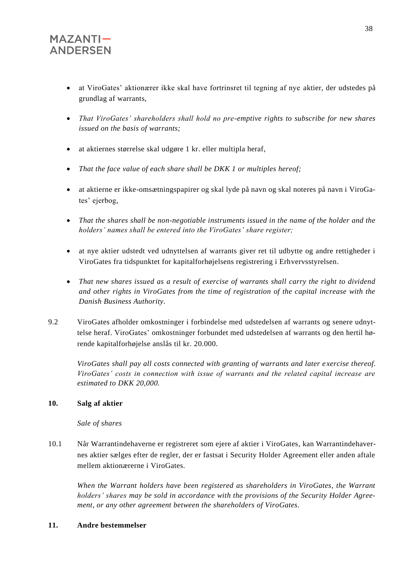- at ViroGates' aktionærer ikke skal have fortrinsret til tegning af nye aktier, der udstedes på grundlag af warrants,
- *That ViroGates' shareholders shall hold no pre-emptive rights to subscribe for new shares issued on the basis of warrants;*
- at aktiernes størrelse skal udgøre 1 kr. eller multipla heraf,
- *That the face value of each share shall be DKK 1 or multiples hereof;*
- at aktierne er ikke-omsætningspapirer og skal lyde på navn og skal noteres på navn i ViroGates' ejerbog,
- *That the shares shall be non-negotiable instruments issued in the name of the holder and the holders' names shall be entered into the ViroGates' share register;*
- at nye aktier udstedt ved udnyttelsen af warrants giver ret til udbytte og andre rettigheder i ViroGates fra tidspunktet for kapitalforhøjelsens registrering i Erhvervsstyrelsen.
- *That new shares issued as a result of exercise of warrants shall carry the right to dividend and other rights in ViroGates from the time of registration of the capital increase with the Danish Business Authority.*
- 9.2 ViroGates afholder omkostninger i forbindelse med udstedelsen af warrants og senere udnyttelse heraf. ViroGates' omkostninger forbundet med udstedelsen af warrants og den hertil hørende kapitalforhøjelse anslås til kr. 20.000.

*ViroGates shall pay all costs connected with granting of warrants and later e xercise thereof. ViroGates' costs in connection with issue of warrants and the related capital increase are estimated to DKK 20,000.*

#### **10. Salg af aktier**

#### *Sale of shares*

10.1 Når Warrantindehaverne er registreret som ejere af aktier i ViroGates, kan Warrantindehavernes aktier sælges efter de regler, der er fastsat i Security Holder Agreement eller anden aftale mellem aktionærerne i ViroGates.

*When the Warrant holders have been registered as shareholders in ViroGates, the Warrant holders' shares may be sold in accordance with the provisions of the Security Holder Agreement, or any other agreement between the shareholders of ViroGates.*

#### **11. Andre bestemmelser**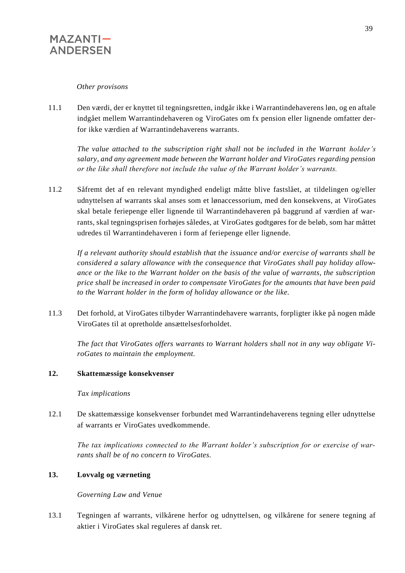#### *Other provisons*

11.1 Den værdi, der er knyttet til tegningsretten, indgår ikke i Warrantindehaverens løn, og en aftale indgået mellem Warrantindehaveren og ViroGates om fx pension eller lignende omfatter derfor ikke værdien af Warrantindehaverens warrants.

*The value attached to the subscription right shall not be included in the Warrant holder's salary, and any agreement made between the Warrant holder and ViroGates regarding pension or the like shall therefore not include the value of the Warrant holder's warrants.*

11.2 Såfremt det af en relevant myndighed endeligt måtte blive fastslået, at tildelingen og/eller udnyttelsen af warrants skal anses som et lønaccessorium, med den konsekvens, at ViroGates skal betale feriepenge eller lignende til Warrantindehaveren på baggrund af værdien af warrants, skal tegningsprisen forhøjes således, at ViroGates godtgøres for de beløb, som har måttet udredes til Warrantindehaveren i form af feriepenge eller lignende.

*If a relevant authority should establish that the issuance and/or exercise of warrants shall be considered a salary allowance with the consequence that ViroGates shall pay holiday allowance or the like to the Warrant holder on the basis of the value of warrants, the subscription price shall be increased in order to compensate ViroGates for the amounts that have been paid to the Warrant holder in the form of holiday allowance or the like.*

11.3 Det forhold, at ViroGates tilbyder Warrantindehavere warrants, forpligter ikke på nogen måde ViroGates til at opretholde ansættelsesforholdet.

*The fact that ViroGates offers warrants to Warrant holders shall not in any way obligate ViroGates to maintain the employment.*

#### **12. Skattemæssige konsekvenser**

*Tax implications*

12.1 De skattemæssige konsekvenser forbundet med Warrantindehaverens tegning eller udnyttelse af warrants er ViroGates uvedkommende.

*The tax implications connected to the Warrant holder's subscription for or exercise of warrants shall be of no concern to ViroGates.*

#### **13. Lovvalg og værneting**

*Governing Law and Venue*

13.1 Tegningen af warrants, vilkårene herfor og udnyttelsen, og vilkårene for senere tegning af aktier i ViroGates skal reguleres af dansk ret.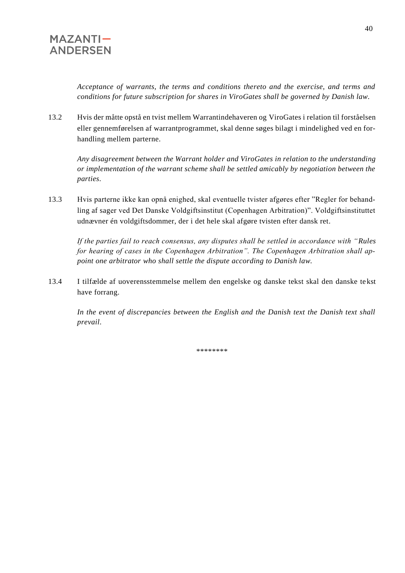*Acceptance of warrants, the terms and conditions thereto and the exercise, and terms and conditions for future subscription for shares in ViroGates shall be governed by Danish law.*

13.2 Hvis der måtte opstå en tvist mellem Warrantindehaveren og ViroGates i relation til forståelsen eller gennemførelsen af warrantprogrammet, skal denne søges bilagt i mindelighed ved en forhandling mellem parterne.

*Any disagreement between the Warrant holder and ViroGates in relation to the understanding or implementation of the warrant scheme shall be settled amicably by negotiation between the parties.*

13.3 Hvis parterne ikke kan opnå enighed, skal eventuelle tvister afgøres efter "Regler for behandling af sager ved Det Danske Voldgiftsinstitut (Copenhagen Arbitration)". Voldgiftsinstituttet udnævner én voldgiftsdommer, der i det hele skal afgøre tvisten efter dansk ret.

*If the parties fail to reach consensus, any disputes shall be settled in accordance with "Rules for hearing of cases in the Copenhagen Arbitration". The Copenhagen Arbitration shall appoint one arbitrator who shall settle the dispute according to Danish law.*

13.4 I tilfælde af uoverensstemmelse mellem den engelske og danske tekst skal den danske tekst have forrang.

*In the event of discrepancies between the English and the Danish text the Danish text shall prevail.*

\*\*\*\*\*\*\*\*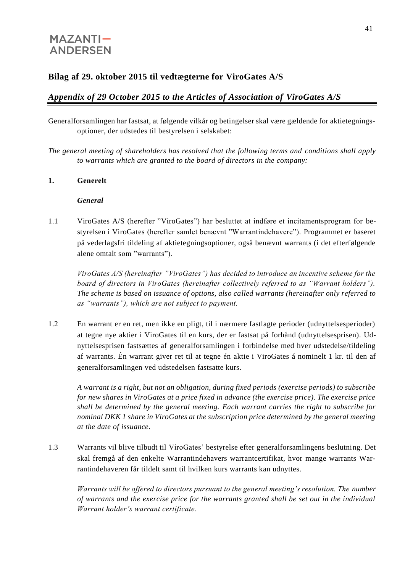## **Bilag af 29. oktober 2015 til vedtægterne for ViroGates A/S**

## *Appendix of 29 October 2015 to the Articles of Association of ViroGates A/S*

Generalforsamlingen har fastsat, at følgende vilkår og betingelser skal være gældende for aktietegningsoptioner, der udstedes til bestyrelsen i selskabet:

*The general meeting of shareholders has resolved that the following terms and conditions shall apply to warrants which are granted to the board of directors in the company:*

#### **1. Generelt**

#### *General*

1.1 ViroGates A/S (herefter "ViroGates") har besluttet at indføre et incitamentsprogram for bestyrelsen i ViroGates (herefter samlet benævnt "Warrantindehavere"). Programmet er baseret på vederlagsfri tildeling af aktietegningsoptioner, også benævnt warrants (i det efterfølgende alene omtalt som "warrants").

*ViroGates A/S (hereinafter "ViroGates") has decided to introduce an incentive scheme for the board of directors in ViroGates (hereinafter collectively referred to as "Warrant holders"). The scheme is based on issuance of options, also called warrants (hereinafter only referred to as "warrants"), which are not subject to payment.* 

1.2 En warrant er en ret, men ikke en pligt, til i nærmere fastlagte perioder (udnyttelsesperioder) at tegne nye aktier i ViroGates til en kurs, der er fastsat på forhånd (udnyttelsesprisen). Udnyttelsesprisen fastsættes af generalforsamlingen i forbindelse med hver udstedelse/tildeling af warrants. Én warrant giver ret til at tegne én aktie i ViroGates á nominelt 1 kr. til den af generalforsamlingen ved udstedelsen fastsatte kurs.

*A warrant is a right, but not an obligation, during fixed periods (exercise periods) to subscribe for new shares in ViroGates at a price fixed in advance (the exercise price). The exercise price shall be determined by the general meeting. Each warrant carries the right to subscribe for nominal DKK 1 share in ViroGates at the subscription price determined by the general meeting at the date of issuance.* 

1.3 Warrants vil blive tilbudt til ViroGates' bestyrelse efter generalforsamlingens beslutning. Det skal fremgå af den enkelte Warrantindehavers warrantcertifikat, hvor mange warrants Warrantindehaveren får tildelt samt til hvilken kurs warrants kan udnyttes.

*Warrants will be offered to directors pursuant to the general meeting's resolution. The number of warrants and the exercise price for the warrants granted shall be set out in the individual Warrant holder's warrant certificate.*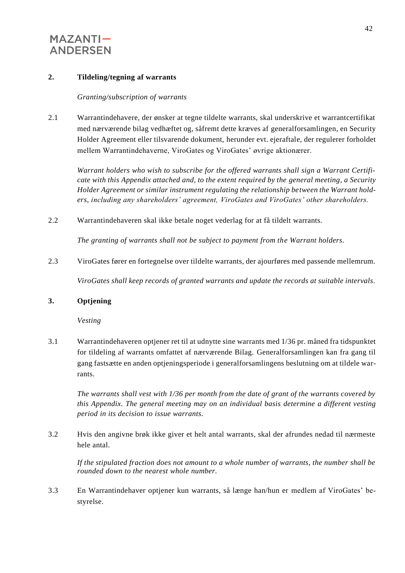#### **2. Tildeling/tegning af warrants**

#### *Granting/subscription of warrants*

2.1 Warrantindehavere, der ønsker at tegne tildelte warrants, skal underskrive et warrantcertifikat med nærværende bilag vedhæftet og, såfremt dette kræves af generalforsamlingen, en Security Holder Agreement eller tilsvarende dokument, herunder evt. ejeraftale, der regulerer forholdet mellem Warrantindehaverne, ViroGates og ViroGates' øvrige aktionærer.

*Warrant holders who wish to subscribe for the offered warrants shall sign a Warrant Certificate with this Appendix attached and, to the extent required by the general meeting, a Security Holder Agreement or similar instrument regulating the relationship between the Warrant holders, including any shareholders' agreement, ViroGates and ViroGates' other shareholders.*

2.2 Warrantindehaveren skal ikke betale noget vederlag for at få tildelt warrants.

*The granting of warrants shall not be subject to payment from the Warrant holders.*

2.3 ViroGates fører en fortegnelse over tildelte warrants, der ajourføres med passende mellemrum.

*ViroGates shall keep records of granted warrants and update the records at suitable intervals.*

#### **3. Optjening**

*Vesting*

3.1 Warrantindehaveren optjener ret til at udnytte sine warrants med 1/36 pr. måned fra tidspunktet for tildeling af warrants omfattet af nærværende Bilag. Generalforsamlingen kan fra gang til gang fastsætte en anden optjeningsperiode i generalforsamlingens beslutning om at tildele warrants.

*The warrants shall vest with 1/36 per month from the date of grant of the warrants covered by this Appendix. The general meeting may on an individual basis determine a different vesting period in its decision to issue warrants.*

3.2 Hvis den angivne brøk ikke giver et helt antal warrants, skal der afrundes nedad til nærmeste hele antal.

*If the stipulated fraction does not amount to a whole number of warrants, the number shall be rounded down to the nearest whole number.*

3.3 En Warrantindehaver optjener kun warrants, så længe han/hun er medlem af ViroGates' bestyrelse.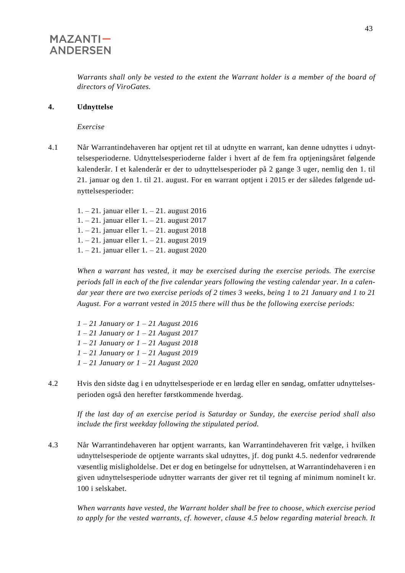*Warrants shall only be vested to the extent the Warrant holder is a member of the board of directors of ViroGates.* 

#### **4. Udnyttelse**

*Exercise*

4.1 Når Warrantindehaveren har optjent ret til at udnytte en warrant, kan denne udnyttes i udnyttelsesperioderne. Udnyttelsesperioderne falder i hvert af de fem fra optjeningsåret følgende kalenderår. I et kalenderår er der to udnyttelsesperioder på 2 gange 3 uger, nemlig den 1. til 21. januar og den 1. til 21. august. For en warrant optjent i 2015 er der således følgende udnyttelsesperioder:

1. – 21. januar eller 1. – 21. august 2016 1. – 21. januar eller 1. – 21. august 2017 1. – 21. januar eller 1. – 21. august 2018 1. – 21. januar eller 1. – 21. august 2019 1. – 21. januar eller 1. – 21. august 2020

*When a warrant has vested, it may be exercised during the exercise periods. The exercise periods fall in each of the five calendar years following the vesting calendar year. In a calendar year there are two exercise periods of 2 times 3 weeks, being 1 to 21 January and 1 to 21 August. For a warrant vested in 2015 there will thus be the following exercise periods:*

- *1 – 21 January or 1 – 21 August 2016 1 – 21 January or 1 – 21 August 2017 1 – 21 January or 1 – 21 August 2018 1 – 21 January or 1 – 21 August 2019 1 – 21 January or 1 – 21 August 2020*
- 4.2 Hvis den sidste dag i en udnyttelsesperiode er en lørdag eller en søndag, omfatter udnyttelsesperioden også den herefter førstkommende hverdag.

*If the last day of an exercise period is Saturday or Sunday, the exercise period shall also include the first weekday following the stipulated period.*

4.3 Når Warrantindehaveren har optjent warrants, kan Warrantindehaveren frit vælge, i hvilken udnyttelsesperiode de optjente warrants skal udnyttes, jf. dog punkt 4.5. nedenfor vedrørende væsentlig misligholdelse. Det er dog en betingelse for udnyttelsen, at Warrantindehaveren i en given udnyttelsesperiode udnytter warrants der giver ret til tegning af minimum nominelt kr. 100 i selskabet.

*When warrants have vested, the Warrant holder shall be free to choose, which exercise period to apply for the vested warrants, cf. however, clause 4.5 below regarding material breach. It*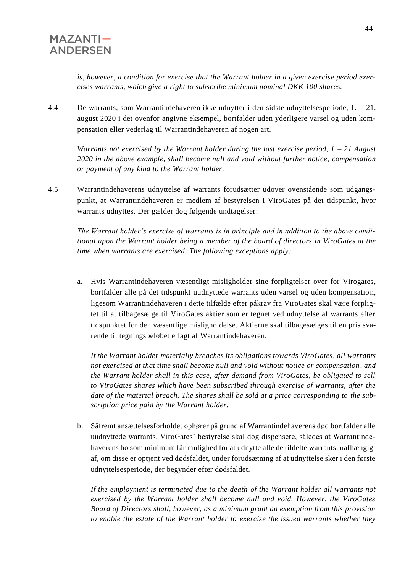*is, however, a condition for exercise that the Warrant holder in a given exercise period exercises warrants, which give a right to subscribe minimum nominal DKK 100 shares.*

4.4 De warrants, som Warrantindehaveren ikke udnytter i den sidste udnyttelsesperiode, 1. – 21. august 2020 i det ovenfor angivne eksempel, bortfalder uden yderligere varsel og uden kompensation eller vederlag til Warrantindehaveren af nogen art.

*Warrants not exercised by the Warrant holder during the last exercise period, 1 – 21 August 2020 in the above example, shall become null and void without further notice, compensation or payment of any kind to the Warrant holder.*

4.5 Warrantindehaverens udnyttelse af warrants forudsætter udover ovenstående som udgangspunkt, at Warrantindehaveren er medlem af bestyrelsen i ViroGates på det tidspunkt, hvor warrants udnyttes. Der gælder dog følgende undtagelser:

*The Warrant holder's exercise of warrants is in principle and in addition to the above conditional upon the Warrant holder being a member of the board of directors in ViroGates at the time when warrants are exercised. The following exceptions apply:*

a. Hvis Warrantindehaveren væsentligt misligholder sine forpligtelser over for Virogates, bortfalder alle på det tidspunkt uudnyttede warrants uden varsel og uden kompensation, ligesom Warrantindehaveren i dette tilfælde efter påkrav fra ViroGates skal være forpligtet til at tilbagesælge til ViroGates aktier som er tegnet ved udnyttelse af warrants efter tidspunktet for den væsentlige misligholdelse. Aktierne skal tilbagesælges til en pris svarende til tegningsbeløbet erlagt af Warrantindehaveren.

*If the Warrant holder materially breaches its obligations towards ViroGates, all warrants not exercised at that time shall become null and void without notice or compensation, and the Warrant holder shall in this case, after demand from ViroGates, be obligated to sell to ViroGates shares which have been subscribed through exercise of warrants, after the date of the material breach. The shares shall be sold at a price corresponding to the subscription price paid by the Warrant holder.*

b. Såfremt ansættelsesforholdet ophører på grund af Warrantindehaverens død bortfalder alle uudnyttede warrants. ViroGates' bestyrelse skal dog dispensere, således at Warrantindehaverens bo som minimum får mulighed for at udnytte alle de tildelte warrants, uafhængigt af, om disse er optjent ved dødsfaldet, under forudsætning af at udnyttelse sker i den første udnyttelsesperiode, der begynder efter dødsfaldet.

*If the employment is terminated due to the death of the Warrant holder all warrants not exercised by the Warrant holder shall become null and void. However, the ViroGates Board of Directors shall, however, as a minimum grant an exemption from this provision to enable the estate of the Warrant holder to exercise the issued warrants whether they*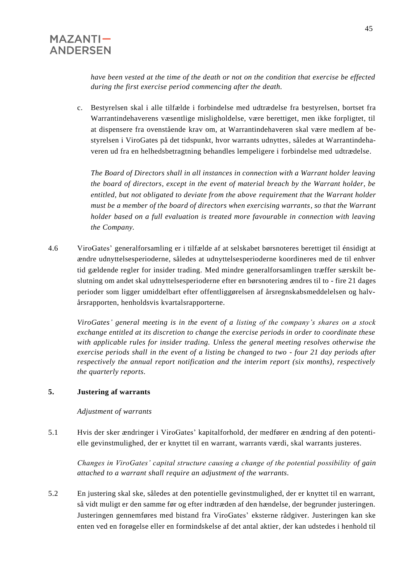*have been vested at the time of the death or not on the condition that exercise be effected during the first exercise period commencing after the death.* 

c. Bestyrelsen skal i alle tilfælde i forbindelse med udtrædelse fra bestyrelsen, bortset fra Warrantindehaverens væsentlige misligholdelse, være berettiget, men ikke forpligtet, til at dispensere fra ovenstående krav om, at Warrantindehaveren skal være medlem af bestyrelsen i ViroGates på det tidspunkt, hvor warrants udnyttes, således at Warrantindehaveren ud fra en helhedsbetragtning behandles lempeligere i forbindelse med udtrædelse.

*The Board of Directors shall in all instances in connection with a Warrant holder leaving the board of directors, except in the event of material breach by the Warrant holder, be entitled, but not obligated to deviate from the above requirement that the Warrant holder must be a member of the board of directors when exercising warrants, so that the Warrant holder based on a full evaluation is treated more favourable in connection with leaving the Company.*

4.6 ViroGates' generalforsamling er i tilfælde af at selskabet børsnoteres berettiget til énsidigt at ændre udnyttelsesperioderne, således at udnyttelsesperioderne koordineres med de til enhver tid gældende regler for insider trading. Med mindre generalforsamlingen træffer særskilt beslutning om andet skal udnyttelsesperioderne efter en børsnotering ændres til to - fire 21 dages perioder som ligger umiddelbart efter offentliggørelsen af årsregnskabsmeddelelsen og halvårsrapporten, henholdsvis kvartalsrapporterne.

*ViroGates' general meeting is in the event of a listing of the company's shares on a stock exchange entitled at its discretion to change the exercise periods in order to coordinate these with applicable rules for insider trading. Unless the general meeting resolves otherwise the exercise periods shall in the event of a listing be changed to two - four 21 day periods after respectively the annual report notification and the interim report (six months), respectively the quarterly reports.*

#### **5. Justering af warrants**

*Adjustment of warrants*

5.1 Hvis der sker ændringer i ViroGates' kapitalforhold, der medfører en ændring af den potentielle gevinstmulighed, der er knyttet til en warrant, warrants værdi, skal warrants justeres.

*Changes in ViroGates' capital structure causing a change of the potential possibility of gain attached to a warrant shall require an adjustment of the warrants.*

5.2 En justering skal ske, således at den potentielle gevinstmulighed, der er knyttet til en warrant, så vidt muligt er den samme før og efter indtræden af den hændelse, der begrunder justeringen. Justeringen gennemføres med bistand fra ViroGates' eksterne rådgiver. Justeringen kan ske enten ved en forøgelse eller en formindskelse af det antal aktier, der kan udstedes i henhold til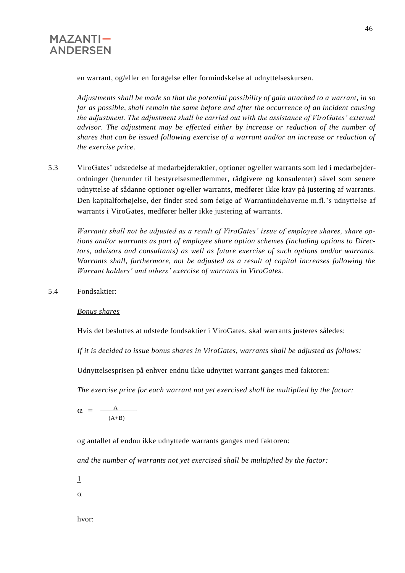

en warrant, og/eller en forøgelse eller formindskelse af udnyttelseskursen.

*Adjustments shall be made so that the potential possibility of gain attached to a warrant, in so far as possible, shall remain the same before and after the occurrence of an incident causing the adjustment. The adjustment shall be carried out with the assistance of ViroGates' external advisor. The adjustment may be effected either by increase or reduction of the number of shares that can be issued following exercise of a warrant and/or an increase or reduction of the exercise price.*

5.3 ViroGates' udstedelse af medarbejderaktier, optioner og/eller warrants som led i medarbejderordninger (herunder til bestyrelsesmedlemmer, rådgivere og konsulenter) såvel som senere udnyttelse af sådanne optioner og/eller warrants, medfører ikke krav på justering af warrants. Den kapitalforhøjelse, der finder sted som følge af Warrantindehaverne m.fl.'s udnyttelse af warrants i ViroGates, medfører heller ikke justering af warrants.

*Warrants shall not be adjusted as a result of ViroGates' issue of employee shares, share options and/or warrants as part of employee share option schemes (including options to Directors, advisors and consultants) as well as future exercise of such options and/or warrants. Warrants shall, furthermore, not be adjusted as a result of capital increases following the Warrant holders' and others' exercise of warrants in ViroGates.*

5.4 Fondsaktier:

*Bonus shares*

Hvis det besluttes at udstede fondsaktier i ViroGates, skal warrants justeres således:

*If it is decided to issue bonus shares in ViroGates, warrants shall be adjusted as follows:*

Udnyttelsesprisen på enhver endnu ikke udnyttet warrant ganges med faktoren:

*The exercise price for each warrant not yet exercised shall be multiplied by the factor:*

 $\alpha = \frac{A}{\alpha}$   $(A+B)$ 

og antallet af endnu ikke udnyttede warrants ganges med faktoren:

*and the number of warrants not yet exercised shall be multiplied by the factor:*

1

 $\alpha$ 

hvor: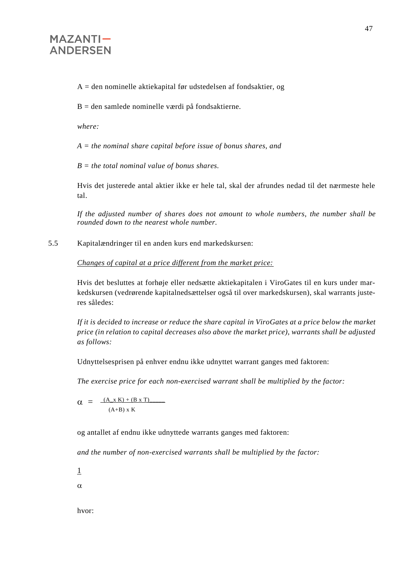A = den nominelle aktiekapital før udstedelsen af fondsaktier, og

 $B =$  den samlede nominelle værdi på fondsaktierne.

*where:*

*A = the nominal share capital before issue of bonus shares, and*

*B = the total nominal value of bonus shares.*

Hvis det justerede antal aktier ikke er hele tal, skal der afrundes nedad til det nærmeste hele tal.

*If the adjusted number of shares does not amount to whole numbers, the number shall be rounded down to the nearest whole number.*

5.5 Kapitalændringer til en anden kurs end markedskursen:

*Changes of capital at a price different from the market price:*

Hvis det besluttes at forhøje eller nedsætte aktiekapitalen i ViroGates til en kurs under markedskursen (vedrørende kapitalnedsættelser også til over markedskursen), skal warrants justeres således:

*If it is decided to increase or reduce the share capital in ViroGates at a price below the market price (in relation to capital decreases also above the market price), warrants shall be adjusted as follows:*

Udnyttelsesprisen på enhver endnu ikke udnyttet warrant ganges med faktoren:

*The exercise price for each non-exercised warrant shall be multiplied by the factor:*

 $\alpha = \frac{(A \times K) + (B \times T)}{}$  $(A+B)$  x K

og antallet af endnu ikke udnyttede warrants ganges med faktoren:

i<br>S

*and the number of non-exercised warrants shall be multiplied by the factor:*

1

 $\alpha$ 

hvor: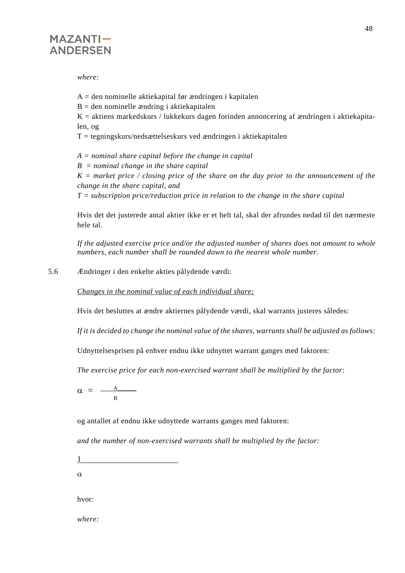

*where:*

 $A =$  den nominelle aktiekapital før ændringen i kapitalen

 $B =$  den nominelle ændring i aktiekapitalen

 $K =$  aktiens markedskurs / lukkekurs dagen forinden annoncering af ændringen i aktiekapitalen, og

 $T = \text{tegningskurs/nedsættelseskurs ved ændringen i aktiekapitalen}$ 

*A = nominal share capital before the change in capital*

*B = nominal change in the share capital*

*K = market price / closing price of the share on the day prior to the announcement of the change in the share capital, and*

*T = subscription price/reduction price in relation to the change in the share capital*

Hvis det det justerede antal aktier ikke er et helt tal, skal der afrundes nedad til det nærmeste hele tal.

*If the adjusted exercise price and/or the adjusted number of shares does not amount to whole numbers, each number shall be rounded down to the nearest whole number.*

5.6 Ændringer i den enkelte akties pålydende værdi:

*Changes in the nominal value of each individual share:*

Hvis det besluttes at ændre aktiernes pålydende værdi, skal warrants justeres således:

*If it is decided to change the nominal value of the shares, warrants shall be adjusted as follows:*

Udnyttelsesprisen på enhver endnu ikke udnyttet warrant ganges med faktoren:

*The exercise price for each non-exercised warrant shall be multiplied by the factor:*

 $\alpha = \frac{A_{\cdots}}{A_{\cdots}}$ B

og antallet af endnu ikke udnyttede warrants ganges med faktoren:

*and the number of non-exercised warrants shall be multiplied by the factor:*

1

 $\alpha$ 

hvor:

*where:*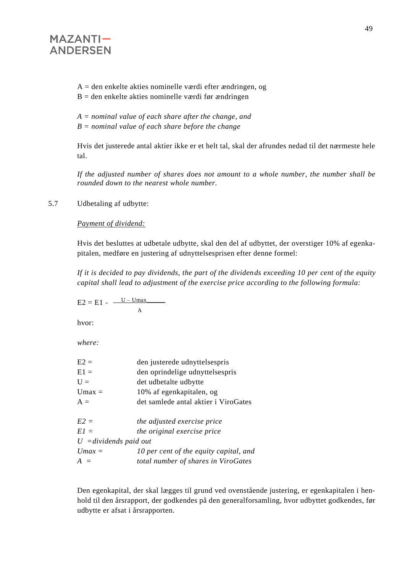$A =$  den enkelte akties nominelle værdi efter ændringen, og  $B =$  den enkelte akties nominelle værdi før ændringen

*A = nominal value of each share after the change, and*

*B = nominal value of each share before the change*

Hvis det justerede antal aktier ikke er et helt tal, skal der afrundes nedad til det nærmeste hele tal.

*If the adjusted number of shares does not amount to a whole number, the number shall be rounded down to the nearest whole number.*

5.7 Udbetaling af udbytte:

*Payment of dividend:*

Hvis det besluttes at udbetale udbytte, skal den del af udbyttet, der overstiger 10% af egenkapitalen, medføre en justering af udnyttelsesprisen efter denne formel:

*If it is decided to pay dividends, the part of the dividends exceeding 10 per cent of the equity capital shall lead to adjustment of the exercise price according to the following formula:*

$$
E2 = E1 - \frac{U - Umax}{A}
$$

hvor:

*where:*

| $E2 =$                          | den justerede udnyttelsespris          |
|---------------------------------|----------------------------------------|
| $E1 =$                          | den oprindelige udnyttelsespris        |
| $U =$                           | det udbetalte udbytte                  |
| $Umax =$                        | 10% af egenkapitalen, og               |
| $A =$                           | det samlede antal aktier i ViroGates   |
|                                 |                                        |
| $E2 =$                          | the adjusted exercise price            |
| $E1 =$                          | the original exercise price            |
| $U = \text{dividends paid out}$ |                                        |
| $Umax =$                        | 10 per cent of the equity capital, and |
| $A =$                           | total number of shares in ViroGates    |
|                                 |                                        |

Den egenkapital, der skal lægges til grund ved ovenstående justering, er egenkapitalen i henhold til den årsrapport, der godkendes på den generalforsamling, hvor udbyttet godkendes, før udbytte er afsat i årsrapporten.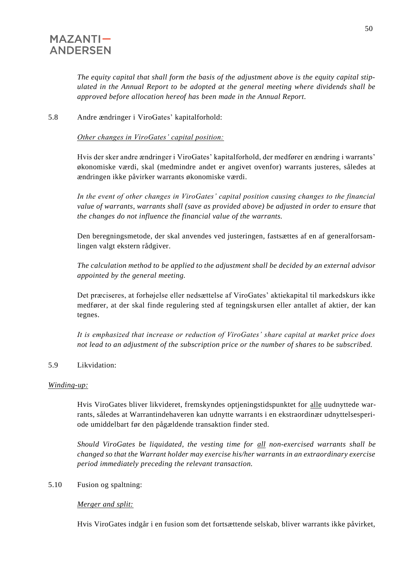*The equity capital that shall form the basis of the adjustment above is the equity capital stipulated in the Annual Report to be adopted at the general meeting where dividends shall be approved before allocation hereof has been made in the Annual Report.*

#### 5.8 Andre ændringer i ViroGates' kapitalforhold:

*Other changes in ViroGates' capital position:*

Hvis der sker andre ændringer i ViroGates' kapitalforhold, der medfører en ændring i warrants' økonomiske værdi, skal (medmindre andet er angivet ovenfor) warrants justeres, således at ændringen ikke påvirker warrants økonomiske værdi.

*In the event of other changes in ViroGates' capital position causing changes to the financial value of warrants, warrants shall (save as provided above) be adjusted in order to ensure that the changes do not influence the financial value of the warrants.*

Den beregningsmetode, der skal anvendes ved justeringen, fastsættes af en af generalforsamlingen valgt ekstern rådgiver.

*The calculation method to be applied to the adjustment shall be decided by an external advisor appointed by the general meeting.*

Det præciseres, at forhøjelse eller nedsættelse af ViroGates' aktiekapital til markedskurs ikke medfører, at der skal finde regulering sted af tegningskursen eller antallet af aktier, der kan tegnes.

*It is emphasized that increase or reduction of ViroGates' share capital at market price does not lead to an adjustment of the subscription price or the number of shares to be subscribed.*

5.9 Likvidation:

#### *Winding-up:*

Hvis ViroGates bliver likvideret, fremskyndes optjeningstidspunktet for alle uudnyttede warrants, således at Warrantindehaveren kan udnytte warrants i en ekstraordinær udnyttelsesperiode umiddelbart før den pågældende transaktion finder sted.

*Should ViroGates be liquidated, the vesting time for all non-exercised warrants shall be changed so that the Warrant holder may exercise his/her warrants in an extraordinary exercise period immediately preceding the relevant transaction.*

5.10 Fusion og spaltning:

#### *Merger and split:*

Hvis ViroGates indgår i en fusion som det fortsættende selskab, bliver warrants ikke påvirket,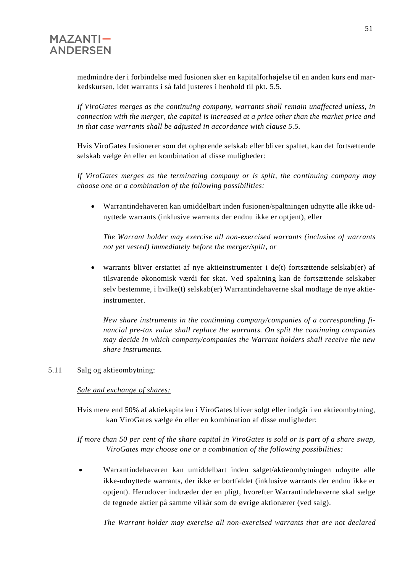medmindre der i forbindelse med fusionen sker en kapitalforhøjelse til en anden kurs end markedskursen, idet warrants i så fald justeres i henhold til pkt. 5.5.

*If ViroGates merges as the continuing company, warrants shall remain unaffected unless, in connection with the merger, the capital is increased at a price other than the market price and in that case warrants shall be adjusted in accordance with clause 5.5.*

Hvis ViroGates fusionerer som det ophørende selskab eller bliver spaltet, kan det fortsættende selskab vælge én eller en kombination af disse muligheder:

*If ViroGates merges as the terminating company or is split, the continuing company may choose one or a combination of the following possibilities:*

• Warrantindehaveren kan umiddelbart inden fusionen/spaltningen udnytte alle ikke udnyttede warrants (inklusive warrants der endnu ikke er optjent), eller

*The Warrant holder may exercise all non-exercised warrants (inclusive of warrants not yet vested) immediately before the merger/split, or*

• warrants bliver erstattet af nye aktieinstrumenter i de(t) fortsættende selskab(er) af tilsvarende økonomisk værdi før skat. Ved spaltning kan de fortsættende selskaber selv bestemme, i hvilke(t) selskab(er) Warrantindehaverne skal modtage de nye aktieinstrumenter.

*New share instruments in the continuing company/companies of a corresponding financial pre-tax value shall replace the warrants. On split the continuing companies may decide in which company/companies the Warrant holders shall receive the new share instruments.*

#### 5.11 Salg og aktieombytning:

#### *Sale and exchange of shares:*

Hvis mere end 50% af aktiekapitalen i ViroGates bliver solgt eller indgår i en aktieombytning, kan ViroGates vælge én eller en kombination af disse muligheder:

*If more than 50 per cent of the share capital in ViroGates is sold or is part of a share swap, ViroGates may choose one or a combination of the following possibilities:*

• Warrantindehaveren kan umiddelbart inden salget/aktieombytningen udnytte alle ikke-udnyttede warrants, der ikke er bortfaldet (inklusive warrants der endnu ikke er optjent). Herudover indtræder der en pligt, hvorefter Warrantindehaverne skal sælge de tegnede aktier på samme vilkår som de øvrige aktionærer (ved salg).

*The Warrant holder may exercise all non-exercised warrants that are not declared*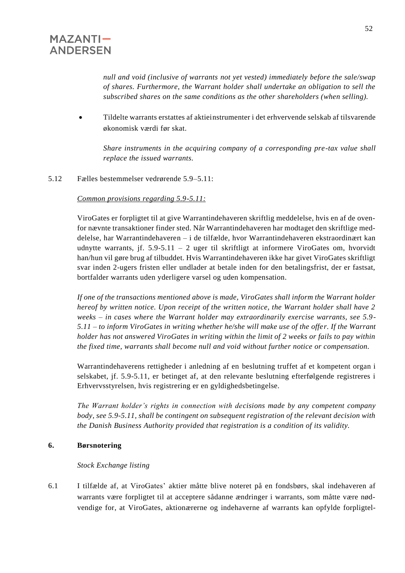*null and void (inclusive of warrants not yet vested) immediately before the sale/swap of shares. Furthermore, the Warrant holder shall undertake an obligation to sell the subscribed shares on the same conditions as the other shareholders (when selling).*

• Tildelte warrants erstattes af aktieinstrumenter i det erhvervende selskab af tilsvarende økonomisk værdi før skat.

*Share instruments in the acquiring company of a corresponding pre-tax value shall replace the issued warrants.*

5.12 Fælles bestemmelser vedrørende 5.9–5.11:

*Common provisions regarding 5.9-5.11:*

ViroGates er forpligtet til at give Warrantindehaveren skriftlig meddelelse, hvis en af de ovenfor nævnte transaktioner finder sted. Når Warrantindehaveren har modtaget den skriftlige meddelelse, har Warrantindehaveren – i de tilfælde, hvor Warrantindehaveren ekstraordinært kan udnytte warrants, jf. 5.9-5.11 – 2 uger til skriftligt at informere ViroGates om, hvorvidt han/hun vil gøre brug af tilbuddet. Hvis Warrantindehaveren ikke har givet ViroGates skriftligt svar inden 2-ugers fristen eller undlader at betale inden for den betalingsfrist, der er fastsat, bortfalder warrants uden yderligere varsel og uden kompensation.

*If one of the transactions mentioned above is made, ViroGates shall inform the Warrant holder hereof by written notice. Upon receipt of the written notice, the Warrant holder shall have 2 weeks – in cases where the Warrant holder may extraordinarily exercise warrants, see 5.9- 5.11 – to inform ViroGates in writing whether he/she will make use of the offer. If the Warrant holder has not answered ViroGates in writing within the limit of 2 weeks or fails to pay within the fixed time, warrants shall become null and void without further notice or compensation.*

Warrantindehaverens rettigheder i anledning af en beslutning truffet af et kompetent organ i selskabet, jf. 5.9-5.11, er betinget af, at den relevante beslutning efterfølgende registreres i Erhvervsstyrelsen, hvis registrering er en gyldighedsbetingelse.

*The Warrant holder's rights in connection with decisions made by any competent company body, see 5.9-5.11, shall be contingent on subsequent registration of the relevant decision with the Danish Business Authority provided that registration is a condition of its validity.*

#### **6. Børsnotering**

#### *Stock Exchange listing*

6.1 I tilfælde af, at ViroGates' aktier måtte blive noteret på en fondsbørs, skal indehaveren af warrants være forpligtet til at acceptere sådanne ændringer i warrants, som måtte være nødvendige for, at ViroGates, aktionærerne og indehaverne af warrants kan opfylde forpligtel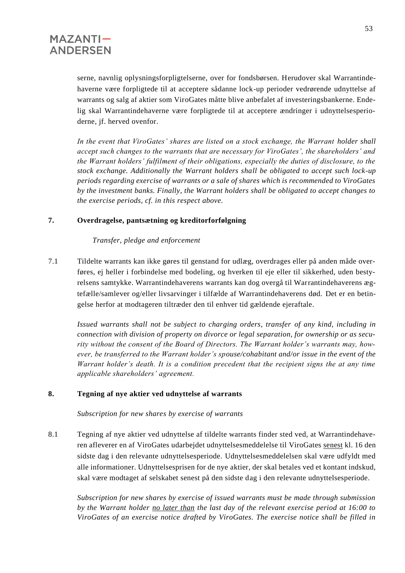serne, navnlig oplysningsforpligtelserne, over for fondsbørsen. Herudover skal Warrantindehaverne være forpligtede til at acceptere sådanne lock-up perioder vedrørende udnyttelse af warrants og salg af aktier som ViroGates måtte blive anbefalet af investeringsbankerne. Endelig skal Warrantindehaverne være forpligtede til at acceptere ændringer i udnyttelsesperioderne, jf. herved ovenfor.

*In the event that ViroGates' shares are listed on a stock exchange, the Warrant holder shall accept such changes to the warrants that are necessary for ViroGates', the shareholders' and the Warrant holders' fulfilment of their obligations, especially the duties of disclosure, to the stock exchange. Additionally the Warrant holders shall be obligated to accept such lock-up periods regarding exercise of warrants or a sale of shares which is recommended to ViroGates by the investment banks. Finally, the Warrant holders shall be obligated to accept changes to the exercise periods, cf. in this respect above.*

#### **7. Overdragelse, pantsætning og kreditorforfølgning**

#### *Transfer, pledge and enforcement*

7.1 Tildelte warrants kan ikke gøres til genstand for udlæg, overdrages eller på anden måde overføres, ej heller i forbindelse med bodeling, og hverken til eje eller til sikkerhed, uden bestyrelsens samtykke. Warrantindehaverens warrants kan dog overgå til Warrantindehaverens ægtefælle/samlever og/eller livsarvinger i tilfælde af Warrantindehaverens død. Det er en betingelse herfor at modtageren tiltræder den til enhver tid gældende ejeraftale.

*Issued warrants shall not be subject to charging orders, transfer of any kind, including in connection with division of property on divorce or legal separation, for ownership or as security without the consent of the Board of Directors. The Warrant holder's warrants may, however, be transferred to the Warrant holder's spouse/cohabitant and/or issue in the event of the Warrant holder's death. It is a condition precedent that the recipient signs the at any time applicable shareholders' agreement.*

#### **8. Tegning af nye aktier ved udnyttelse af warrants**

*Subscription for new shares by exercise of warrants*

8.1 Tegning af nye aktier ved udnyttelse af tildelte warrants finder sted ved, at Warrantindehaveren afleverer en af ViroGates udarbejdet udnyttelsesmeddelelse til ViroGates senest kl. 16 den sidste dag i den relevante udnyttelsesperiode. Udnyttelsesmeddelelsen skal være udfyldt med alle informationer. Udnyttelsesprisen for de nye aktier, der skal betales ved et kontant indskud, skal være modtaget af selskabet senest på den sidste dag i den relevante udnyttelsesperiode.

*Subscription for new shares by exercise of issued warrants must be made through submission by the Warrant holder no later than the last day of the relevant exercise period at 16:00 to ViroGates of an exercise notice drafted by ViroGates. The exercise notice shall be filled in*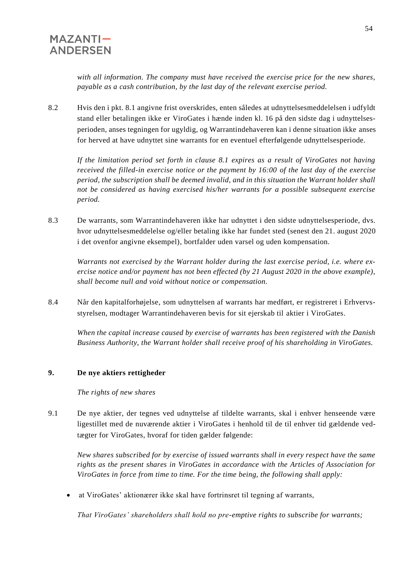*with all information. The company must have received the exercise price for the new shares, payable as a cash contribution, by the last day of the relevant exercise period.*

8.2 Hvis den i pkt. 8.1 angivne frist overskrides, enten således at udnyttelsesmeddelelsen i udfyldt stand eller betalingen ikke er ViroGates i hænde inden kl. 16 på den sidste dag i udnyttelsesperioden, anses tegningen for ugyldig, og Warrantindehaveren kan i denne situation ikke anses for herved at have udnyttet sine warrants for en eventuel efterfølgende udnyttelsesperiode.

*If the limitation period set forth in clause 8.1 expires as a result of ViroGates not having received the filled-in exercise notice or the payment by 16:00 of the last day of the exercise period, the subscription shall be deemed invalid, and in this situation the Warrant holder shall not be considered as having exercised his/her warrants for a possible subsequent exercise period.*

8.3 De warrants, som Warrantindehaveren ikke har udnyttet i den sidste udnyttelsesperiode, dvs. hvor udnyttelsesmeddelelse og/eller betaling ikke har fundet sted (senest den 21. august 2020 i det ovenfor angivne eksempel), bortfalder uden varsel og uden kompensation.

*Warrants not exercised by the Warrant holder during the last exercise period, i.e. where exercise notice and/or payment has not been effected (by 21 August 2020 in the above example), shall become null and void without notice or compensation.*

8.4 Når den kapitalforhøjelse, som udnyttelsen af warrants har medført, er registreret i Erhvervsstyrelsen, modtager Warrantindehaveren bevis for sit ejerskab til aktier i ViroGates.

*When the capital increase caused by exercise of warrants has been registered with the Danish Business Authority, the Warrant holder shall receive proof of his shareholding in ViroGates.*

### **9. De nye aktiers rettigheder**

 *The rights of new shares*

9.1 De nye aktier, der tegnes ved udnyttelse af tildelte warrants, skal i enhver henseende være ligestillet med de nuværende aktier i ViroGates i henhold til de til enhver tid gældende vedtægter for ViroGates, hvoraf for tiden gælder følgende:

*New shares subscribed for by exercise of issued warrants shall in every respect have the same rights as the present shares in ViroGates in accordance with the Articles of Association for ViroGates in force from time to time. For the time being, the following shall apply:*

• at ViroGates' aktionærer ikke skal have fortrinsret til tegning af warrants,

*That ViroGates' shareholders shall hold no pre-emptive rights to subscribe for warrants;*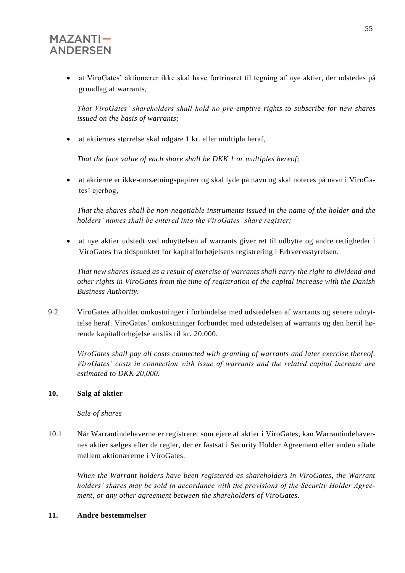• at ViroGates' aktionærer ikke skal have fortrinsret til tegning af nye aktier, der udstedes på grundlag af warrants,

*That ViroGates' shareholders shall hold no pre-emptive rights to subscribe for new shares issued on the basis of warrants;*

• at aktiernes størrelse skal udgøre 1 kr. eller multipla heraf,

*That the face value of each share shall be DKK 1 or multiples hereof;*

• at aktierne er ikke-omsætningspapirer og skal lyde på navn og skal noteres på navn i ViroGates' ejerbog,

*That the shares shall be non-negotiable instruments issued in the name of the holder and the holders' names shall be entered into the ViroGates' share register;*

• at nye aktier udstedt ved udnyttelsen af warrants giver ret til udbytte og andre rettigheder i ViroGates fra tidspunktet for kapitalforhøjelsens registrering i Erhvervsstyrelsen.

*That new shares issued as a result of exercise of warrants shall carry the right to dividend and other rights in ViroGates from the time of registration of the capital increase with the Danish Business Authority.*

9.2 ViroGates afholder omkostninger i forbindelse med udstedelsen af warrants og senere udnyttelse heraf. ViroGates' omkostninger forbundet med udstedelsen af warrants og den hertil hørende kapitalforhøjelse anslås til kr. 20.000.

*ViroGates shall pay all costs connected with granting of warrants and later exercise thereof. ViroGates' costs in connection with issue of warrants and the related capital increase are estimated to DKK 20,000.*

#### **10. Salg af aktier**

#### *Sale of shares*

10.1 Når Warrantindehaverne er registreret som ejere af aktier i ViroGates, kan Warrantindehavernes aktier sælges efter de regler, der er fastsat i Security Holder Agreement eller anden aftale mellem aktionærerne i ViroGates.

*When the Warrant holders have been registered as shareholders in ViroGates, the Warrant holders' shares may be sold in accordance with the provisions of the Security Holder Agreement, or any other agreement between the shareholders of ViroGates.*

#### **11. Andre bestemmelser**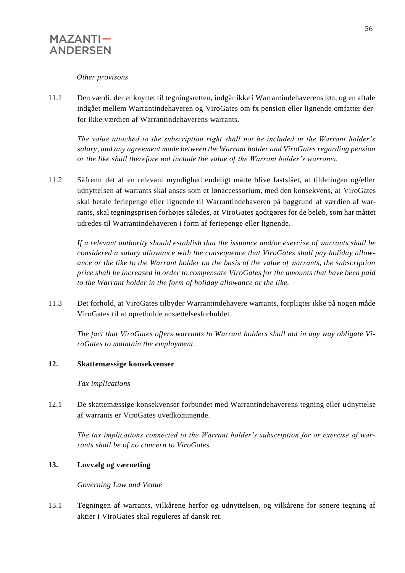

#### *Other provisons*

11.1 Den værdi, der er knyttet til tegningsretten, indgår ikke i Warrantindehaverens løn, og en aftale indgået mellem Warrantindehaveren og ViroGates om fx pension eller lignende omfatter derfor ikke værdien af Warrantindehaverens warrants.

*The value attached to the subscription right shall not be included in the Warrant holder's salary, and any agreement made between the Warrant holder and ViroGates regarding pension or the like shall therefore not include the value of the Warrant holder's warrants.*

11.2 Såfremt det af en relevant myndighed endeligt måtte blive fastslået, at tildelingen og/eller udnyttelsen af warrants skal anses som et lønaccessorium, med den konsekvens, at ViroGates skal betale feriepenge eller lignende til Warrantindehaveren på baggrund af værdien af warrants, skal tegningsprisen forhøjes således, at ViroGates godtgøres for de beløb, som har måttet udredes til Warrantindehaveren i form af feriepenge eller lignende.

*If a relevant authority should establish that the issuance and/or exercise of warrants shall be considered a salary allowance with the consequence that ViroGates shall pay holiday allowance or the like to the Warrant holder on the basis of the value of warrants, the subscription price shall be increased in order to compensate ViroGates for the amounts that have been paid to the Warrant holder in the form of holiday allowance or the like.*

11.3 Det forhold, at ViroGates tilbyder Warrantindehavere warrants, forpligter ikke på nogen måde ViroGates til at opretholde ansættelsesforholdet.

*The fact that ViroGates offers warrants to Warrant holders shall not in any way obligate ViroGates to maintain the employment.*

#### **12. Skattemæssige konsekvenser**

#### *Tax implications*

12.1 De skattemæssige konsekvenser forbundet med Warrantindehaverens tegning eller udnyttelse af warrants er ViroGates uvedkommende.

*The tax implications connected to the Warrant holder's subscription for or exercise of warrants shall be of no concern to ViroGates.*

#### **13. Lovvalg og værneting**

#### *Governing Law and Venue*

13.1 Tegningen af warrants, vilkårene herfor og udnyttelsen, og vilkårene for senere tegning af aktier i ViroGates skal reguleres af dansk ret.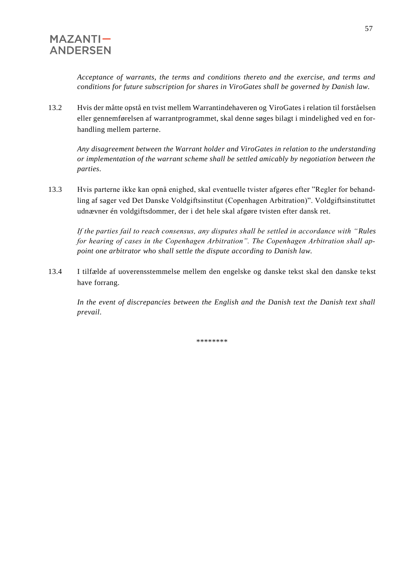*Acceptance of warrants, the terms and conditions thereto and the exercise, and terms and conditions for future subscription for shares in ViroGates shall be governed by Danish law.*

13.2 Hvis der måtte opstå en tvist mellem Warrantindehaveren og ViroGates i relation til forståelsen eller gennemførelsen af warrantprogrammet, skal denne søges bilagt i mindelighed ved en forhandling mellem parterne.

*Any disagreement between the Warrant holder and ViroGates in relation to the understanding or implementation of the warrant scheme shall be settled amicably by negotiation between the parties.*

13.3 Hvis parterne ikke kan opnå enighed, skal eventuelle tvister afgøres efter "Regler for behandling af sager ved Det Danske Voldgiftsinstitut (Copenhagen Arbitration)". Voldgiftsinstituttet udnævner én voldgiftsdommer, der i det hele skal afgøre tvisten efter dansk ret.

*If the parties fail to reach consensus, any disputes shall be settled in accordance with "Rules for hearing of cases in the Copenhagen Arbitration". The Copenhagen Arbitration shall appoint one arbitrator who shall settle the dispute according to Danish law.*

13.4 I tilfælde af uoverensstemmelse mellem den engelske og danske tekst skal den danske tekst have forrang.

*In the event of discrepancies between the English and the Danish text the Danish text shall prevail.*

\*\*\*\*\*\*\*\*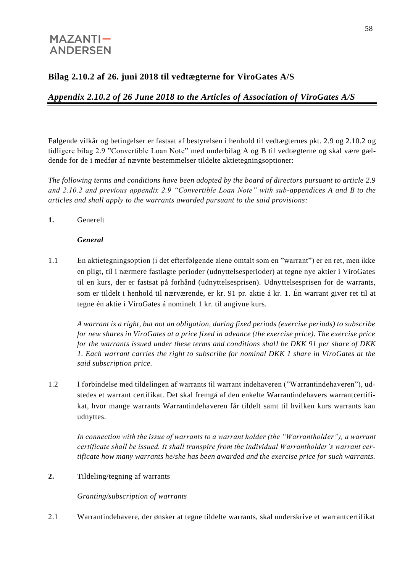## **Bilag 2.10.2 af 26. juni 2018 til vedtægterne for ViroGates A/S**

## *Appendix 2.10.2 of 26 June 2018 to the Articles of Association of ViroGates A/S*

Følgende vilkår og betingelser er fastsat af bestyrelsen i henhold til vedtægternes pkt. 2.9 og 2.10.2 og tidligere bilag 2.9 "Convertible Loan Note" med underbilag A og B til vedtægterne og skal være gældende for de i medfør af nævnte bestemmelser tildelte aktietegningsoptioner:

*The following terms and conditions have been adopted by the board of directors pursuant to article 2.9 and 2.10.2 and previous appendix 2.9 "Convertible Loan Note" with sub-appendices A and B to the articles and shall apply to the warrants awarded pursuant to the said provisions:*

**1.** Generelt

#### *General*

1.1 En aktietegningsoption (i det efterfølgende alene omtalt som en "warrant") er en ret, men ikke en pligt, til i nærmere fastlagte perioder (udnyttelsesperioder) at tegne nye aktier i ViroGates til en kurs, der er fastsat på forhånd (udnyttelsesprisen). Udnyttelsesprisen for de warrants, som er tildelt i henhold til nærværende, er kr. 91 pr. aktie á kr. 1. Én warrant giver ret til at tegne én aktie i ViroGates á nominelt 1 kr. til angivne kurs.

*A warrant is a right, but not an obligation, during fixed periods (exercise periods) to subscribe for new shares in ViroGates at a price fixed in advance (the exercise price). The exercise price for the warrants issued under these terms and conditions shall be DKK 91 per share of DKK 1. Each warrant carries the right to subscribe for nominal DKK 1 share in ViroGates at the said subscription price.* 

1.2 I forbindelse med tildelingen af warrants til warrant indehaveren ("Warrantindehaveren"), udstedes et warrant certifikat. Det skal fremgå af den enkelte Warrantindehavers warrantcertifikat, hvor mange warrants Warrantindehaveren får tildelt samt til hvilken kurs warrants kan udnyttes.

*In connection with the issue of warrants to a warrant holder (the "Warrantholder"), a warrant certificate shall be issued. It shall transpire from the individual Warrantholder's warrant certificate how many warrants he/she has been awarded and the exercise price for such warrants.* 

**2.** Tildeling/tegning af warrants

*Granting/subscription of warrants*

2.1 Warrantindehavere, der ønsker at tegne tildelte warrants, skal underskrive et warrantcertifikat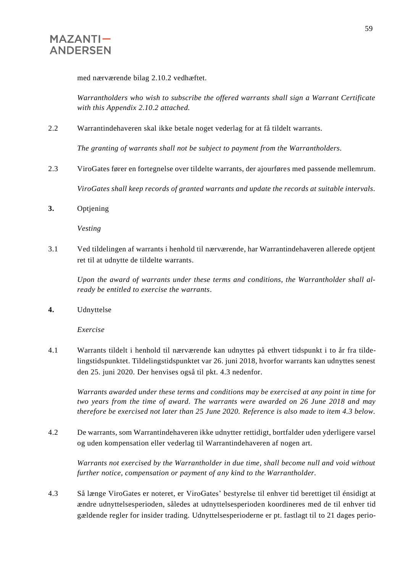med nærværende bilag 2.10.2 vedhæftet.

*Warrantholders who wish to subscribe the offered warrants shall sign a Warrant Certificate with this Appendix 2.10.2 attached.*

2.2 Warrantindehaveren skal ikke betale noget vederlag for at få tildelt warrants.

*The granting of warrants shall not be subject to payment from the Warrantholders.*

- 2.3 ViroGates fører en fortegnelse over tildelte warrants, der ajourføres med passende mellemrum. *ViroGates shall keep records of granted warrants and update the records at suitable intervals.*
- **3.** Optjening

*Vesting*

3.1 Ved tildelingen af warrants i henhold til nærværende, har Warrantindehaveren allerede optjent ret til at udnytte de tildelte warrants.

*Upon the award of warrants under these terms and conditions, the Warrantholder shall already be entitled to exercise the warrants.*

**4.** Udnyttelse

*Exercise*

4.1 Warrants tildelt i henhold til nærværende kan udnyttes på ethvert tidspunkt i to år fra tildelingstidspunktet. Tildelingstidspunktet var 26. juni 2018, hvorfor warrants kan udnyttes senest den 25. juni 2020. Der henvises også til pkt. 4.3 nedenfor.

*Warrants awarded under these terms and conditions may be exercised at any point in time for two years from the time of award. The warrants were awarded on 26 June 2018 and may therefore be exercised not later than 25 June 2020. Reference is also made to item 4.3 below.*

4.2 De warrants, som Warrantindehaveren ikke udnytter rettidigt, bortfalder uden yderligere varsel og uden kompensation eller vederlag til Warrantindehaveren af nogen art.

*Warrants not exercised by the Warrantholder in due time, shall become null and void without further notice, compensation or payment of any kind to the Warrantholder.*

4.3 Så længe ViroGates er noteret, er ViroGates' bestyrelse til enhver tid berettiget til énsidigt at ændre udnyttelsesperioden, således at udnyttelsesperioden koordineres med de til enhver tid gældende regler for insider trading. Udnyttelsesperioderne er pt. fastlagt til to 21 dages perio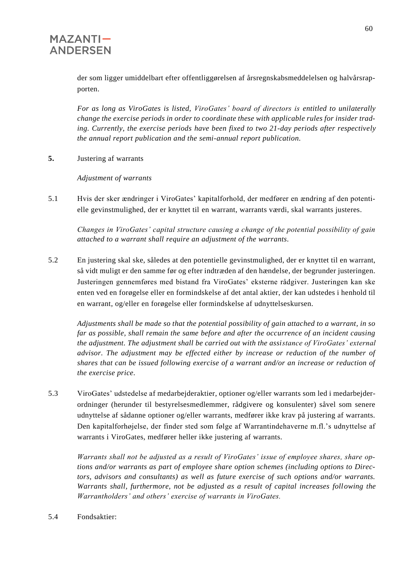der som ligger umiddelbart efter offentliggørelsen af årsregnskabsmeddelelsen og halvårsrapporten.

*For as long as ViroGates is listed, ViroGates' board of directors is entitled to unilaterally change the exercise periods in order to coordinate these with applicable rules for insider trading. Currently, the exercise periods have been fixed to two 21-day periods after respectively the annual report publication and the semi-annual report publication.*

**5.** Justering af warrants

*Adjustment of warrants*

5.1 Hvis der sker ændringer i ViroGates' kapitalforhold, der medfører en ændring af den potentielle gevinstmulighed, der er knyttet til en warrant, warrants værdi, skal warrants justeres.

*Changes in ViroGates' capital structure causing a change of the potential possibility of gain attached to a warrant shall require an adjustment of the warrants.*

5.2 En justering skal ske, således at den potentielle gevinstmulighed, der er knyttet til en warrant, så vidt muligt er den samme før og efter indtræden af den hændelse, der begrunder justeringen. Justeringen gennemføres med bistand fra ViroGates' eksterne rådgiver. Justeringen kan ske enten ved en forøgelse eller en formindskelse af det antal aktier, der kan udstedes i henhold til en warrant, og/eller en forøgelse eller formindskelse af udnyttelseskursen.

*Adjustments shall be made so that the potential possibility of gain attached to a warrant, in so far as possible, shall remain the same before and after the occurrence of an incident causing the adjustment. The adjustment shall be carried out with the assistance of ViroGates' external advisor. The adjustment may be effected either by increase or reduction of the number of shares that can be issued following exercise of a warrant and/or an increase or reduction of the exercise price.*

5.3 ViroGates' udstedelse af medarbejderaktier, optioner og/eller warrants som led i medarbejderordninger (herunder til bestyrelsesmedlemmer, rådgivere og konsulenter) såvel som senere udnyttelse af sådanne optioner og/eller warrants, medfører ikke krav på justering af warrants. Den kapitalforhøjelse, der finder sted som følge af Warrantindehaverne m.fl.'s udnyttelse af warrants i ViroGates, medfører heller ikke justering af warrants.

*Warrants shall not be adjusted as a result of ViroGates' issue of employee shares, share options and/or warrants as part of employee share option schemes (including options to Directors, advisors and consultants) as well as future exercise of such options and/or warrants. Warrants shall, furthermore, not be adjusted as a result of capital increases following the Warrantholders' and others' exercise of warrants in ViroGates.*

5.4 Fondsaktier: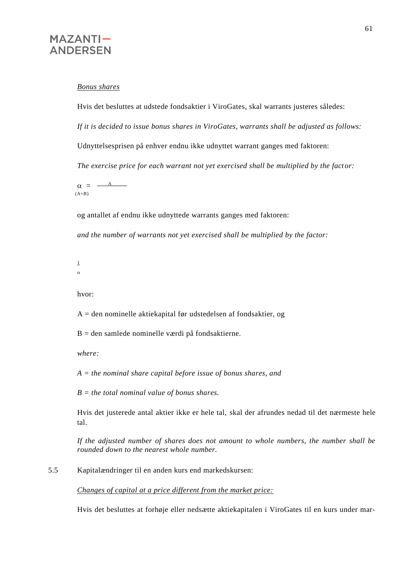#### *Bonus shares*

Hvis det besluttes at udstede fondsaktier i ViroGates, skal warrants justeres således: *If it is decided to issue bonus shares in ViroGates, warrants shall be adjusted as follows:* Udnyttelsesprisen på enhver endnu ikke udnyttet warrant ganges med faktoren: *The exercise price for each warrant not yet exercised shall be multiplied by the factor:*  $\alpha = \frac{A_{-}}{A_{-}}$  $\ddot{\phantom{0}}$  $(A+B)$ 

og antallet af endnu ikke udnyttede warrants ganges med faktoren:

*and the number of warrants not yet exercised shall be multiplied by the factor:*

- 1
- $\alpha$

hvor:

A = den nominelle aktiekapital før udstedelsen af fondsaktier, og

 $B =$  den samlede nominelle værdi på fondsaktierne.

*where:*

*A = the nominal share capital before issue of bonus shares, and*

*B = the total nominal value of bonus shares.*

Hvis det justerede antal aktier ikke er hele tal, skal der afrundes nedad til det nærmeste hele tal.

*If the adjusted number of shares does not amount to whole numbers, the number shall be rounded down to the nearest whole number.*

5.5 Kapitalændringer til en anden kurs end markedskursen:

*Changes of capital at a price different from the market price:*

Hvis det besluttes at forhøje eller nedsætte aktiekapitalen i ViroGates til en kurs under mar-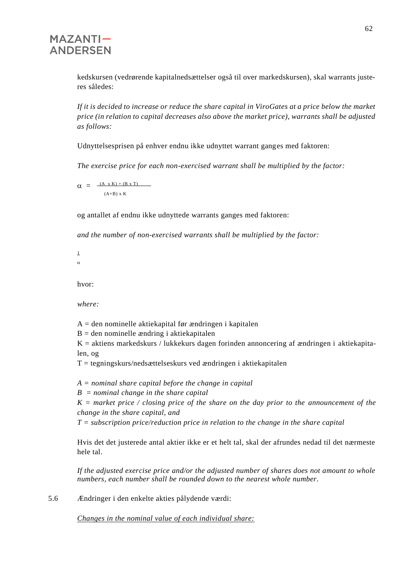kedskursen (vedrørende kapitalnedsættelser også til over markedskursen), skal warrants justeres således:

*If it is decided to increase or reduce the share capital in ViroGates at a price below the market price (in relation to capital decreases also above the market price), warrants shall be adjusted as follows:*

Udnyttelsesprisen på enhver endnu ikke udnyttet warrant ganges med faktoren:

*The exercise price for each non-exercised warrant shall be multiplied by the factor:*

 $\alpha = \frac{(A_x K) + (B x T)}{2}$  $(A+B)$  x K

og antallet af endnu ikke udnyttede warrants ganges med faktoren:

*and the number of non-exercised warrants shall be multiplied by the factor:*

1  $\alpha$ 

hvor:

*where:*

 $A =$  den nominelle aktiekapital før ændringen i kapitalen

 $B =$  den nominelle ændring i aktiekapitalen

 $\ddot{\phantom{0}}$ 

 $K =$  aktiens markedskurs / lukkekurs dagen forinden annoncering af ændringen i aktiekapitalen, og

 $T =$  tegningskurs/nedsættelseskurs ved ændringen i aktiekapitalen

*A = nominal share capital before the change in capital*

*B = nominal change in the share capital*

*K = market price / closing price of the share on the day prior to the announcement of the change in the share capital, and*

*T = subscription price/reduction price in relation to the change in the share capital*

Hvis det det justerede antal aktier ikke er et helt tal, skal der afrundes nedad til det nærmeste hele tal.

*If the adjusted exercise price and/or the adjusted number of shares does not amount to whole numbers, each number shall be rounded down to the nearest whole number.*

5.6 Ændringer i den enkelte akties pålydende værdi:

*Changes in the nominal value of each individual share:*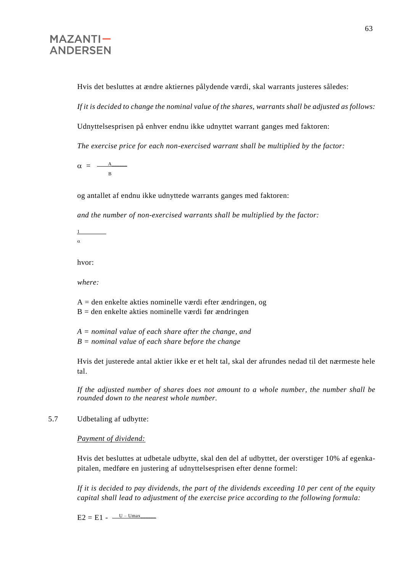Hvis det besluttes at ændre aktiernes pålydende værdi, skal warrants justeres således:

*If it is decided to change the nominal value of the shares, warrants shall be adjusted as follows:*

Udnyttelsesprisen på enhver endnu ikke udnyttet warrant ganges med faktoren:

*The exercise price for each non-exercised warrant shall be multiplied by the factor:*

 $\alpha = \frac{A_{\text{max}}}{A_{\text{max}}}$ B

 $\ddot{\phantom{0}}$ 

og antallet af endnu ikke udnyttede warrants ganges med faktoren:

*and the number of non-exercised warrants shall be multiplied by the factor:*

1  $\alpha$ 

hvor:

*where:*

A = den enkelte akties nominelle værdi efter ændringen, og  $B =$  den enkelte akties nominelle værdi før ændringen

*A = nominal value of each share after the change, and B = nominal value of each share before the change*

Hvis det justerede antal aktier ikke er et helt tal, skal der afrundes nedad til det nærmeste hele tal.

*If the adjusted number of shares does not amount to a whole number, the number shall be rounded down to the nearest whole number.*

5.7 Udbetaling af udbytte:

*Payment of dividend:*

Hvis det besluttes at udbetale udbytte, skal den del af udbyttet, der overstiger 10% af egenkapitalen, medføre en justering af udnyttelsesprisen efter denne formel:

*If it is decided to pay dividends, the part of the dividends exceeding 10 per cent of the equity capital shall lead to adjustment of the exercise price according to the following formula:*

 $E2 = E1 - \frac{U - Umax}{I}$  $\ddot{\phantom{0}}$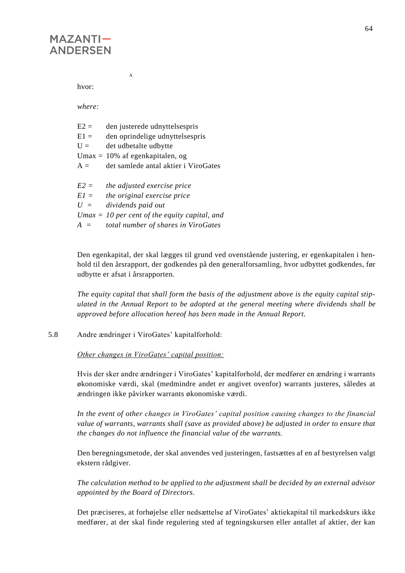hvor:

*where:*

| $E2 =$ | den justerede udnyttelsespris                    |
|--------|--------------------------------------------------|
| $E1 =$ | den oprindelige udnyttelsespris                  |
| $U =$  | det udbetalte udbytte                            |
|        | Umax = $10\%$ af egenkapitalen, og               |
| $A =$  | det samlede antal aktier i ViroGates             |
|        |                                                  |
| $E2 =$ | the adjusted exercise price                      |
| $E1 =$ | the original exercise price                      |
| $U =$  | dividends paid out                               |
|        | $U$ max = 10 per cent of the equity capital, and |
| $A =$  | total number of shares in ViroGates              |

A

Den egenkapital, der skal lægges til grund ved ovenstående justering, er egenkapitalen i henhold til den årsrapport, der godkendes på den generalforsamling, hvor udbyttet godkendes, før udbytte er afsat i årsrapporten.

*The equity capital that shall form the basis of the adjustment above is the equity capital stipulated in the Annual Report to be adopted at the general meeting where dividends shall be approved before allocation hereof has been made in the Annual Report.*

5.8 Andre ændringer i ViroGates' kapitalforhold:

*Other changes in ViroGates' capital position:*

Hvis der sker andre ændringer i ViroGates' kapitalforhold, der medfører en ændring i warrants økonomiske værdi, skal (medmindre andet er angivet ovenfor) warrants justeres, således at ændringen ikke påvirker warrants økonomiske værdi.

*In the event of other changes in ViroGates' capital position causing changes to the financial value of warrants, warrants shall (save as provided above) be adjusted in order to ensure that the changes do not influence the financial value of the warrants.*

Den beregningsmetode, der skal anvendes ved justeringen, fastsættes af en af bestyrelsen valgt ekstern rådgiver.

*The calculation method to be applied to the adjustment shall be decided by an external advisor appointed by the Board of Directors.*

Det præciseres, at forhøjelse eller nedsættelse af ViroGates' aktiekapital til markedskurs ikke medfører, at der skal finde regulering sted af tegningskursen eller antallet af aktier, der kan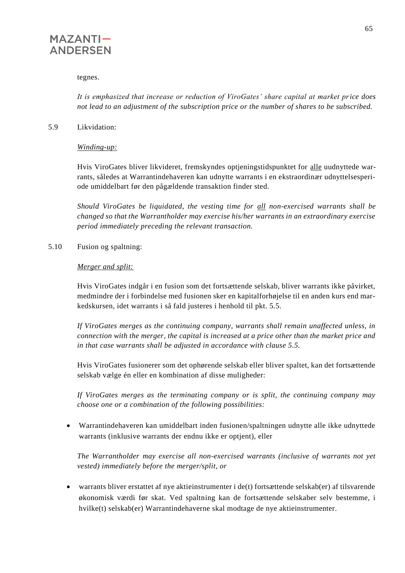

#### tegnes.

*It is emphasized that increase or reduction of ViroGates' share capital at market price does not lead to an adjustment of the subscription price or the number of shares to be subscribed.*

#### 5.9 Likvidation:

*Winding-up:*

Hvis ViroGates bliver likvideret, fremskyndes optjeningstidspunktet for alle uudnyttede warrants, således at Warrantindehaveren kan udnytte warrants i en ekstraordinær udnyttelsesperiode umiddelbart før den pågældende transaktion finder sted.

*Should ViroGates be liquidated, the vesting time for all non-exercised warrants shall be changed so that the Warrantholder may exercise his/her warrants in an extraordinary exercise period immediately preceding the relevant transaction.*

5.10 Fusion og spaltning:

#### *Merger and split:*

Hvis ViroGates indgår i en fusion som det fortsættende selskab, bliver warrants ikke påvirket, medmindre der i forbindelse med fusionen sker en kapitalforhøjelse til en anden kurs end markedskursen, idet warrants i så fald justeres i henhold til pkt. 5.5.

*If ViroGates merges as the continuing company, warrants shall remain unaffected unless, in connection with the merger, the capital is increased at a price other than the market price and in that case warrants shall be adjusted in accordance with clause 5.5.*

Hvis ViroGates fusionerer som det ophørende selskab eller bliver spaltet, kan det fortsættende selskab vælge én eller en kombination af disse muligheder:

*If ViroGates merges as the terminating company or is split, the continuing company may choose one or a combination of the following possibilities:*

• Warrantindehaveren kan umiddelbart inden fusionen/spaltningen udnytte alle ikke udnyttede warrants (inklusive warrants der endnu ikke er optjent), eller

*The Warrantholder may exercise all non-exercised warrants (inclusive of warrants not yet vested) immediately before the merger/split, or*

• warrants bliver erstattet af nye aktieinstrumenter i de(t) fortsættende selskab(er) af tilsvarende økonomisk værdi før skat. Ved spaltning kan de fortsættende selskaber selv bestemme, i hvilke(t) selskab(er) Warrantindehaverne skal modtage de nye aktieinstrumenter.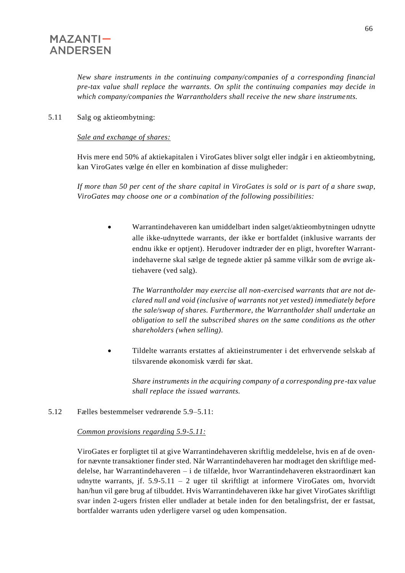*New share instruments in the continuing company/companies of a corresponding financial pre-tax value shall replace the warrants. On split the continuing companies may decide in which company/companies the Warrantholders shall receive the new share instruments.*

5.11 Salg og aktieombytning:

#### *Sale and exchange of shares:*

Hvis mere end 50% af aktiekapitalen i ViroGates bliver solgt eller indgår i en aktieombytning, kan ViroGates vælge én eller en kombination af disse muligheder:

*If more than 50 per cent of the share capital in ViroGates is sold or is part of a share swap, ViroGates may choose one or a combination of the following possibilities:*

• Warrantindehaveren kan umiddelbart inden salget/aktieombytningen udnytte alle ikke-udnyttede warrants, der ikke er bortfaldet (inklusive warrants der endnu ikke er optjent). Herudover indtræder der en pligt, hvorefter Warrantindehaverne skal sælge de tegnede aktier på samme vilkår som de øvrige aktiehavere (ved salg).

*The Warrantholder may exercise all non-exercised warrants that are not declared null and void (inclusive of warrants not yet vested) immediately before the sale/swap of shares. Furthermore, the Warrantholder shall undertake an obligation to sell the subscribed shares on the same conditions as the other shareholders (when selling).*

• Tildelte warrants erstattes af aktieinstrumenter i det erhvervende selskab af tilsvarende økonomisk værdi før skat.

*Share instruments in the acquiring company of a corresponding pre-tax value shall replace the issued warrants.*

5.12 Fælles bestemmelser vedrørende 5.9–5.11:

#### *Common provisions regarding 5.9-5.11:*

ViroGates er forpligtet til at give Warrantindehaveren skriftlig meddelelse, hvis en af de ovenfor nævnte transaktioner finder sted. Når Warrantindehaveren har modtaget den skriftlige meddelelse, har Warrantindehaveren – i de tilfælde, hvor Warrantindehaveren ekstraordinært kan udnytte warrants, jf. 5.9-5.11 – 2 uger til skriftligt at informere ViroGates om, hvorvidt han/hun vil gøre brug af tilbuddet. Hvis Warrantindehaveren ikke har givet ViroGates skriftligt svar inden 2-ugers fristen eller undlader at betale inden for den betalingsfrist, der er fastsat, bortfalder warrants uden yderligere varsel og uden kompensation.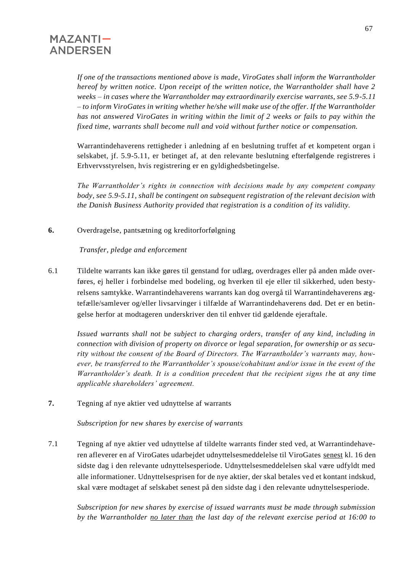*If one of the transactions mentioned above is made, ViroGates shall inform the Warrantholder hereof by written notice. Upon receipt of the written notice, the Warrantholder shall have 2 weeks – in cases where the Warrantholder may extraordinarily exercise warrants, see 5.9-5.11 – to inform ViroGates in writing whether he/she will make use of the offer. If the Warrantholder has not answered ViroGates in writing within the limit of 2 weeks or fails to pay within the fixed time, warrants shall become null and void without further notice or compensation.*

Warrantindehaverens rettigheder i anledning af en beslutning truffet af et kompetent organ i selskabet, jf. 5.9-5.11, er betinget af, at den relevante beslutning efterfølgende registreres i Erhvervsstyrelsen, hvis registrering er en gyldighedsbetingelse.

*The Warrantholder's rights in connection with decisions made by any competent company body, see 5.9-5.11, shall be contingent on subsequent registration of the relevant decision with the Danish Business Authority provided that registration is a condition of its validity.*

**6.** Overdragelse, pantsætning og kreditorforfølgning

#### *Transfer, pledge and enforcement*

6.1 Tildelte warrants kan ikke gøres til genstand for udlæg, overdrages eller på anden måde overføres, ej heller i forbindelse med bodeling, og hverken til eje eller til sikkerhed, uden bestyrelsens samtykke. Warrantindehaverens warrants kan dog overgå til Warrantindehaverens ægtefælle/samlever og/eller livsarvinger i tilfælde af Warrantindehaverens død. Det er en betingelse herfor at modtageren underskriver den til enhver tid gældende ejeraftale.

*Issued warrants shall not be subject to charging orders, transfer of any kind, including in connection with division of property on divorce or legal separation, for ownership or as security without the consent of the Board of Directors. The Warrantholder's warrants may, however, be transferred to the Warrantholder's spouse/cohabitant and/or issue in the event of the Warrantholder's death. It is a condition precedent that the recipient signs the at any time applicable shareholders' agreement.*

**7.** Tegning af nye aktier ved udnyttelse af warrants

*Subscription for new shares by exercise of warrants*

7.1 Tegning af nye aktier ved udnyttelse af tildelte warrants finder sted ved, at Warrantindehaveren afleverer en af ViroGates udarbejdet udnyttelsesmeddelelse til ViroGates senest kl. 16 den sidste dag i den relevante udnyttelsesperiode. Udnyttelsesmeddelelsen skal være udfyldt med alle informationer. Udnyttelsesprisen for de nye aktier, der skal betales ved et kontant indskud, skal være modtaget af selskabet senest på den sidste dag i den relevante udnyttelsesperiode.

*Subscription for new shares by exercise of issued warrants must be made through submission by the Warrantholder no later than the last day of the relevant exercise period at 16:00 to*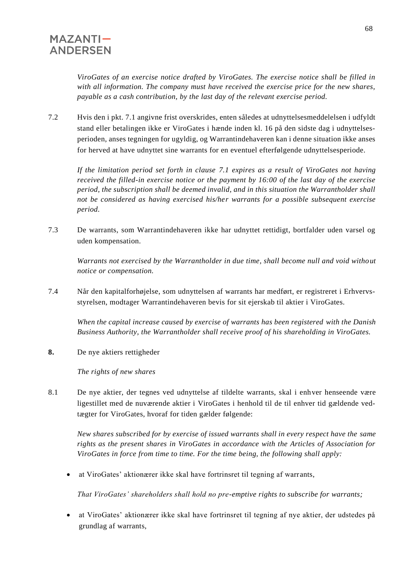*ViroGates of an exercise notice drafted by ViroGates. The exercise notice shall be filled in with all information. The company must have received the exercise price for the new shares, payable as a cash contribution, by the last day of the relevant exercise period.*

7.2 Hvis den i pkt. 7.1 angivne frist overskrides, enten således at udnyttelsesmeddelelsen i udfyldt stand eller betalingen ikke er ViroGates i hænde inden kl. 16 på den sidste dag i udnyttelsesperioden, anses tegningen for ugyldig, og Warrantindehaveren kan i denne situation ikke anses for herved at have udnyttet sine warrants for en eventuel efterfølgende udnyttelsesperiode.

*If the limitation period set forth in clause 7.1 expires as a result of ViroGates not having received the filled-in exercise notice or the payment by 16:00 of the last day of the exercise period, the subscription shall be deemed invalid, and in this situation the Warrantholder shall not be considered as having exercised his/her warrants for a possible subsequent exercise period.*

7.3 De warrants, som Warrantindehaveren ikke har udnyttet rettidigt, bortfalder uden varsel og uden kompensation.

*Warrants not exercised by the Warrantholder in due time, shall become null and void without notice or compensation.*

7.4 Når den kapitalforhøjelse, som udnyttelsen af warrants har medført, er registreret i Erhvervsstyrelsen, modtager Warrantindehaveren bevis for sit ejerskab til aktier i ViroGates.

*When the capital increase caused by exercise of warrants has been registered with the Danish Business Authority, the Warrantholder shall receive proof of his shareholding in ViroGates.*

**8.** De nye aktiers rettigheder

 *The rights of new shares*

8.1 De nye aktier, der tegnes ved udnyttelse af tildelte warrants, skal i enhver henseende være ligestillet med de nuværende aktier i ViroGates i henhold til de til enhver tid gældende vedtægter for ViroGates, hvoraf for tiden gælder følgende:

*New shares subscribed for by exercise of issued warrants shall in every respect have the same rights as the present shares in ViroGates in accordance with the Articles of Association for ViroGates in force from time to time. For the time being, the following shall apply:*

• at ViroGates' aktionærer ikke skal have fortrinsret til tegning af warrants,

*That ViroGates' shareholders shall hold no pre-emptive rights to subscribe for warrants;*

• at ViroGates' aktionærer ikke skal have fortrinsret til tegning af nye aktier, der udstedes på grundlag af warrants,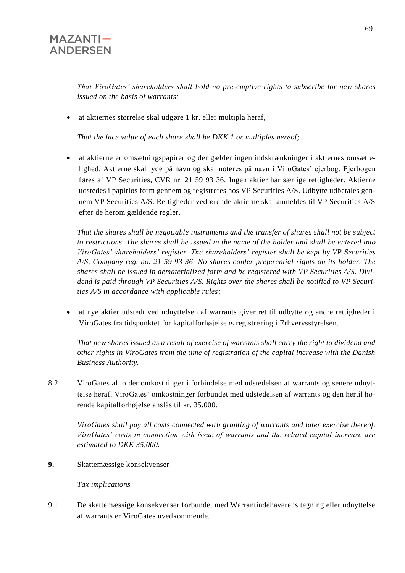*That ViroGates' shareholders shall hold no pre-emptive rights to subscribe for new shares issued on the basis of warrants;*

• at aktiernes størrelse skal udgøre 1 kr. eller multipla heraf,

*That the face value of each share shall be DKK 1 or multiples hereof;*

• at aktierne er omsætningspapirer og der gælder ingen indskrænkninger i aktiernes omsættelighed. Aktierne skal lyde på navn og skal noteres på navn i ViroGates' ejerbog. Ejerbogen føres af VP Securities, CVR nr. 21 59 93 36. Ingen aktier har særlige rettigheder. Aktierne udstedes i papirløs form gennem og registreres hos VP Securities A/S. Udbytte udbetales gennem VP Securities A/S. Rettigheder vedrørende aktierne skal anmeldes til VP Securities A/S efter de herom gældende regler.

*That the shares shall be negotiable instruments and the transfer of shares shall not be subject to restrictions. The shares shall be issued in the name of the holder and shall be entered into ViroGates' shareholders' register. The shareholders' register shall be kept by VP Securities A/S, Company reg. no. 21 59 93 36. No shares confer preferential rights on its holder. The shares shall be issued in dematerialized form and be registered with VP Securities A/S. Dividend is paid through VP Securities A/S. Rights over the shares shall be notified to VP Securities A/S in accordance with applicable rules;*

• at nye aktier udstedt ved udnyttelsen af warrants giver ret til udbytte og andre rettigheder i ViroGates fra tidspunktet for kapitalforhøjelsens registrering i Erhvervsstyrelsen.

*That new shares issued as a result of exercise of warrants shall carry the right to dividend and other rights in ViroGates from the time of registration of the capital increase with the Danish Business Authority.*

8.2 ViroGates afholder omkostninger i forbindelse med udstedelsen af warrants og senere udnyttelse heraf. ViroGates' omkostninger forbundet med udstedelsen af warrants og den hertil hørende kapitalforhøjelse anslås til kr. 35.000.

*ViroGates shall pay all costs connected with granting of warrants and later exercise thereof. ViroGates' costs in connection with issue of warrants and the related capital increase are estimated to DKK 35,000.*

**9.** Skattemæssige konsekvenser

*Tax implications*

9.1 De skattemæssige konsekvenser forbundet med Warrantindehaverens tegning eller udnyttelse af warrants er ViroGates uvedkommende.